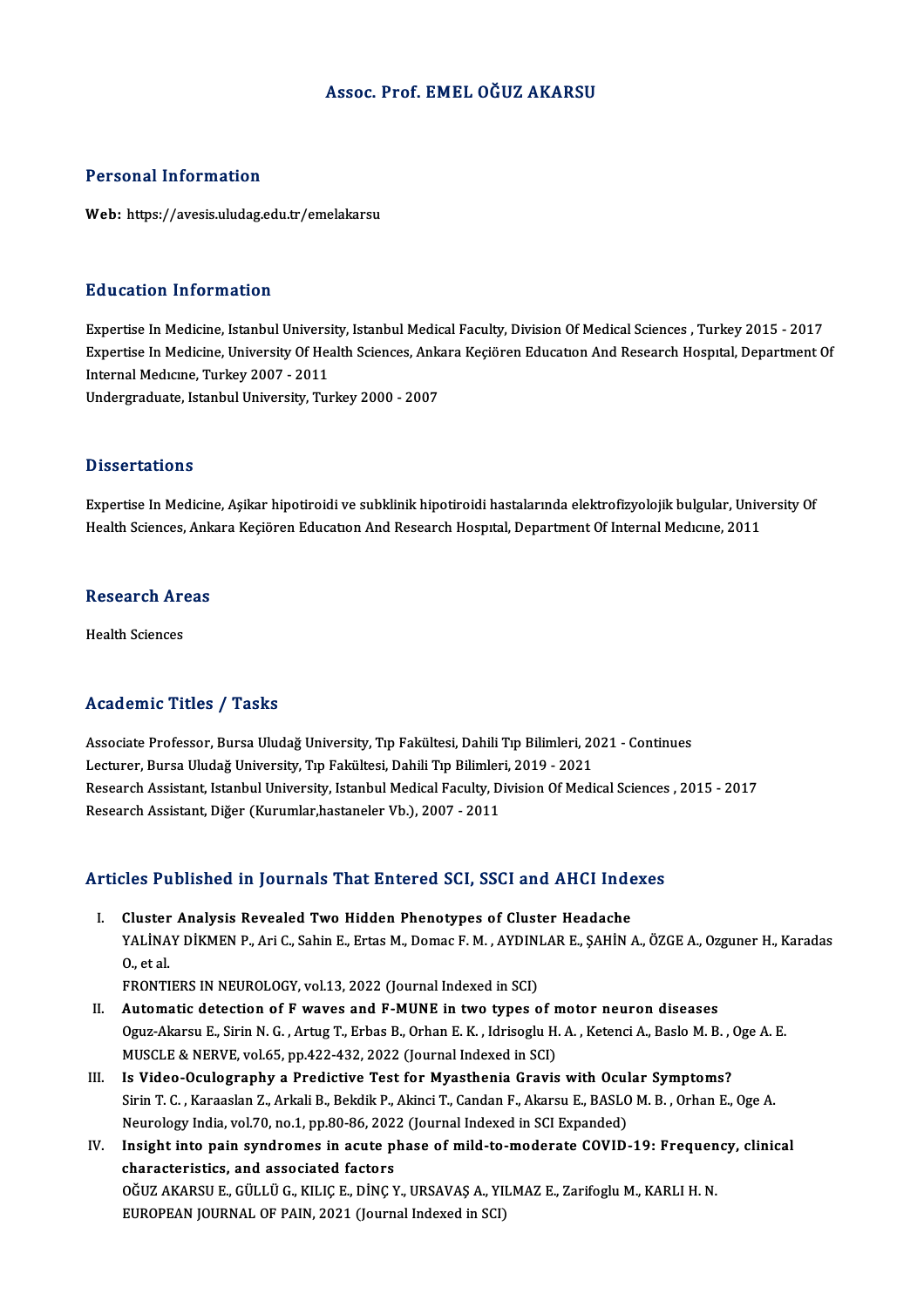# Assoc. Prof. EMELOĞUZ AKARSU

# Personal Information

Web: https://avesis.uludag.edu.tr/emelakarsu

# Education Information

Education Information<br>Expertise In Medicine, Istanbul University, Istanbul Medical Faculty, Division Of Medical Sciences , Turkey 2015 - 2017<br>Expertise In Medicine, University Of Health Sciences, Ankara Kesiören Education Expertise In Medicine, University Of Health Sciences, Ankara Keçiören Education And Research Hospital, Department Of<br>Internal Medicine, Turkey 2007 - 2011 Expertise In Medicine, Istanbul Universi<br>Expertise In Medicine, University Of Hea<br>Internal Medicine, Turkey 2007 - 2011<br>Undergraduate Jatanbul University, Tur Undergraduate, Istanbul University, Turkey 2000 - 2007

## **Dissertations**

Expertise In Medicine, Asikar hipotiroidi ve subklinik hipotiroidi hastalarında elektrofizyolojik bulgular, University Of Health Sciences, Ankara Keçiören Education And Research Hospital, Department Of Internal Medicine, 2011

## **Research Areas**

Health Sciences

# Academic Titles / Tasks

Academic Titles / Tasks<br>Associate Professor, Bursa Uludağ University, Tıp Fakültesi, Dahili Tıp Bilimleri, 2021 - Continues<br>Lesturer, Bursa Uludağ University, Tıp Fakültesi, Dahili Tıp Bilimleri, 2019, 2021 Lecturer, Lectur, Lubas<br>Associate Professor, Bursa Uludağ University, Tıp Fakültesi, Dahili Tıp Bilimleri, 20<br>Lecturer, Bursa Uludağ University, Tıp Fakültesi, Dahili Tıp Bilimleri, 2019 - 2021<br>Besearsh Assistant, Istanbul Associate Professor, Bursa Uludağ University, Tıp Fakültesi, Dahili Tıp Bilimleri, 2021 - Continues<br>Lecturer, Bursa Uludağ University, Tıp Fakültesi, Dahili Tıp Bilimleri, 2019 - 2021<br>Research Assistant, Istanbul Universit Lecturer, Bursa Uludağ University, Tıp Fakültesi, Dahili Tıp Bilimler<br>Research Assistant, Istanbul University, Istanbul Medical Faculty, D<br>Research Assistant, Diğer (Kurumlar,hastaneler Vb.), 2007 - 2011

# Research Assistant, Diger (Kurumiar,nastaneier vb.), 2007 - 2011<br>Articles Published in Journals That Entered SCI, SSCI and AHCI Indexes

The Published in Journals That Entered SCI, SSCI and AHCI Inde<br>I. Cluster Analysis Revealed Two Hidden Phenotypes of Cluster Headache<br>VALINAY DIKMEN B. Ari C. Sobin E. Ertas M. Domas E. M. AYDINLAR E. SAHIN YALİNAY ABINDINDE III JOLITININ TINU ZINDITON BOY, BOOT NIN ITINGI IINNONDI<br>Cluster Analysis Revealed Two Hidden Phenotypes of Cluster Headache<br>MALİNAY DİKMEN P., Ari C., Sahin E., Ertas M., Domac F. M. , AYDINLAR E., ŞAHİ Cluster<br>YALİNA<br>0., et al.<br>ERONTI YALİNAY DİKMEN P., Ari C., Sahin E., Ertas M., Domac F. M. , AYDINI<br>O., et al.<br>FRONTIERS IN NEUROLOGY, vol.13, 2022 (Journal Indexed in SCI)<br>Automatis detection of E unuss and E MINE in two tunes s

- O., et al.<br>FRONTIERS IN NEUROLOGY, vol.13, 2022 (Journal Indexed in SCI)<br>II. Automatic detection of F waves and F-MUNE in two types of motor neuron diseases<br>Ogus Alexau E. Sirin N.C., Artug T. Erbas B. Orban E.K., Idrisogl FRONTIERS IN NEUROLOGY, vol.13, 2022 (Journal Indexed in SCI)<br>Automatic detection of F waves and F-MUNE in two types of motor neuron diseases<br>Oguz-Akarsu E., Sirin N. G. , Artug T., Erbas B., Orhan E. K. , Idrisoglu H. A. Automatic detection of F waves and F-MUNE in two types of n<br>Oguz-Akarsu E., Sirin N. G. , Artug T., Erbas B., Orhan E. K. , Idrisoglu H.<br>MUSCLE & NERVE, vol.65, pp.422-432, 2022 (Journal Indexed in SCI)<br>Is Video Qaulosraph Oguz-Akarsu E., Sirin N. G., Artug T., Erbas B., Orhan E. K., Idrisoglu H. A., Ketenci A., Baslo M. B., (<br>MUSCLE & NERVE, vol.65, pp.422-432, 2022 (Journal Indexed in SCI)<br>III. Is Video-Oculography a Predictive Test for My
- Sirin T. C. , Karaaslan Z., Arkali B., Bekdik P., Akinci T., Candan F., Akarsu E., BASLO M. B. , Orhan E., Oge A.<br>Neurology India, vol.70, no.1, pp.80-86, 2022 (Journal Indexed in SCI Expanded) Is Video-Oculography a Predictive Test for Myasthenia Gravis with Ocul<br>Sirin T. C. , Karaaslan Z., Arkali B., Bekdik P., Akinci T., Candan F., Akarsu E., BASLC<br>Neurology India, vol.70, no.1, pp.80-86, 2022 (Journal Indexed Sirin T. C. , Karaaslan Z., Arkali B., Bekdik P., Akinci T., Candan F., Akarsu E., BASLO M. B. , Orhan E., Oge A.<br>Neurology India, vol.70, no.1, pp.80-86, 2022 (Journal Indexed in SCI Expanded)<br>IV. Insight into pain syndro
- Neurology India, vol.70, no.1, pp.80-86, 202<br>Insight into pain syndromes in acute p<br>characteristics, and associated factors Insight into pain syndromes in acute phase of mild-to-moderate COVID-19: Frequen<br>characteristics, and associated factors<br>OĞUZ AKARSU E., GÜLLÜ G., KILIÇ E., DİNÇ Y., URSAVAŞ A., YILMAZ E., Zarifoglu M., KARLI H. N.<br>FUROPEA characteristics, and associated factors<br>OĞUZ AKARSU E., GÜLLÜ G., KILIÇ E., DİNÇ Y., URSAVAŞ A., YILMAZ E., Zarifoglu M., KARLI H. N.<br>EUROPEAN JOURNAL OF PAIN, 2021 (Journal Indexed in SCI)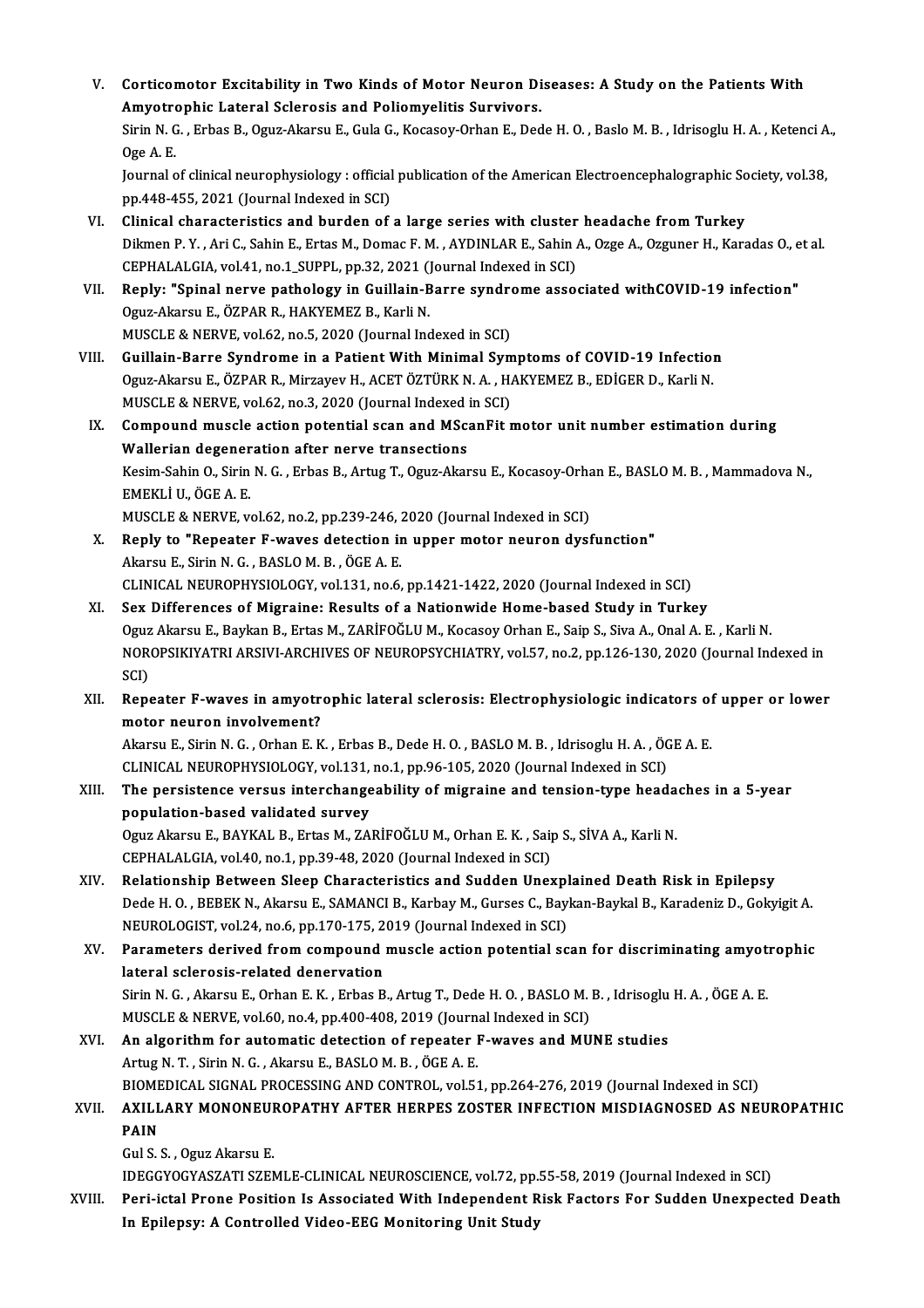| V.     | Corticomotor Excitability in Two Kinds of Motor Neuron Diseases: A Study on the Patients With                                                                  |
|--------|----------------------------------------------------------------------------------------------------------------------------------------------------------------|
|        | Amyotrophic Lateral Sclerosis and Poliomyelitis Survivors.                                                                                                     |
|        | Sirin N. G., Erbas B., Oguz-Akarsu E., Gula G., Kocasoy-Orhan E., Dede H. O., Baslo M. B., Idrisoglu H. A., Ketenci A.,                                        |
|        | Oge A E                                                                                                                                                        |
|        | Journal of clinical neurophysiology : official publication of the American Electroencephalographic Society, vol.38,                                            |
|        | pp.448-455, 2021 (Journal Indexed in SCI)                                                                                                                      |
| VI.    | Clinical characteristics and burden of a large series with cluster headache from Turkey                                                                        |
|        | Dikmen P.Y., Ari C., Sahin E., Ertas M., Domac F.M., AYDINLAR E., Sahin A., Ozge A., Ozguner H., Karadas O., et al.                                            |
|        | CEPHALALGIA, vol.41, no.1_SUPPL, pp.32, 2021 (Journal Indexed in SCI)                                                                                          |
| VII.   | Reply: "Spinal nerve pathology in Guillain-Barre syndrome associated withCOVID-19 infection"                                                                   |
|        | Oguz-Akarsu E., ÖZPAR R., HAKYEMEZ B., Karli N.                                                                                                                |
|        | MUSCLE & NERVE, vol.62, no 5, 2020 (Journal Indexed in SCI)                                                                                                    |
| VIII.  | Guillain-Barre Syndrome in a Patient With Minimal Symptoms of COVID-19 Infection                                                                               |
|        | Oguz-Akarsu E., ÖZPAR R., Mirzayev H., ACET ÖZTÜRK N. A., HAKYEMEZ B., EDİGER D., Karli N.                                                                     |
|        | MUSCLE & NERVE, vol.62, no.3, 2020 (Journal Indexed in SCI)                                                                                                    |
| IX.    | Compound muscle action potential scan and MScanFit motor unit number estimation during                                                                         |
|        | Wallerian degeneration after nerve transections                                                                                                                |
|        | Kesim-Sahin O., Sirin N. G., Erbas B., Artug T., Oguz-Akarsu E., Kocasoy-Orhan E., BASLO M. B., Mammadova N.,                                                  |
|        | EMEKLI U., ÖGE A. E.                                                                                                                                           |
|        | MUSCLE & NERVE, vol.62, no.2, pp.239-246, 2020 (Journal Indexed in SCI)                                                                                        |
| Х.     | Reply to "Repeater F-waves detection in upper motor neuron dysfunction"                                                                                        |
|        | Akarsu E., Sirin N. G., BASLO M. B., ÖGE A. E.                                                                                                                 |
|        | CLINICAL NEUROPHYSIOLOGY, vol.131, no.6, pp.1421-1422, 2020 (Journal Indexed in SCI)                                                                           |
| XI.    | Sex Differences of Migraine: Results of a Nationwide Home-based Study in Turkey                                                                                |
|        | Oguz Akarsu E., Baykan B., Ertas M., ZARİFOĞLU M., Kocasoy Orhan E., Saip S., Siva A., Onal A. E., Karli N.                                                    |
|        | NOROPSIKIYATRI ARSIVI-ARCHIVES OF NEUROPSYCHIATRY, vol.57, no.2, pp.126-130, 2020 (Journal Indexed in                                                          |
|        | SCI)                                                                                                                                                           |
| XII.   | Repeater F-waves in amyotrophic lateral sclerosis: Electrophysiologic indicators of upper or lower                                                             |
|        | motor neuron involvement?                                                                                                                                      |
|        | Akarsu E., Sirin N. G., Orhan E. K., Erbas B., Dede H. O., BASLO M. B., Idrisoglu H. A., ÖGE A. E.                                                             |
|        | CLINICAL NEUROPHYSIOLOGY, vol.131, no.1, pp.96-105, 2020 (Journal Indexed in SCI)                                                                              |
| XIII.  | The persistence versus interchangeability of migraine and tension-type headaches in a 5-year                                                                   |
|        | population-based validated survey                                                                                                                              |
|        | Oguz Akarsu E., BAYKAL B., Ertas M., ZARİFOĞLU M., Orhan E. K. , Saip S., SİVA A., Karli N.                                                                    |
|        | CEPHALALGIA, vol.40, no.1, pp.39-48, 2020 (Journal Indexed in SCI)                                                                                             |
| XIV.   | Relationship Between Sleep Characteristics and Sudden Unexplained Death Risk in Epilepsy                                                                       |
|        | Dede H. O., BEBEK N., Akarsu E., SAMANCI B., Karbay M., Gurses C., Baykan-Baykal B., Karadeniz D., Gokyigit A.                                                 |
|        | NEUROLOGIST, vol.24, no.6, pp.170-175, 2019 (Journal Indexed in SCI)                                                                                           |
| XV.    | Parameters derived from compound muscle action potential scan for discriminating amyotrophic                                                                   |
|        | lateral sclerosis-related denervation                                                                                                                          |
|        | Sirin N. G., Akarsu E., Orhan E. K., Erbas B., Artug T., Dede H. O., BASLO M. B., Idrisoglu H. A., ÖGE A. E.                                                   |
|        | MUSCLE & NERVE, vol.60, no.4, pp.400-408, 2019 (Journal Indexed in SCI)                                                                                        |
| XVI.   | An algorithm for automatic detection of repeater F-waves and MUNE studies                                                                                      |
|        | Artug N. T., Sirin N. G., Akarsu E., BASLO M. B., ÖGE A. E.                                                                                                    |
|        | BIOMEDICAL SIGNAL PROCESSING AND CONTROL, vol.51, pp.264-276, 2019 (Journal Indexed in SCI)                                                                    |
| XVII.  | AXILLARY MONONEUROPATHY AFTER HERPES ZOSTER INFECTION MISDIAGNOSED AS NEUROPATHIC                                                                              |
|        | <b>PAIN</b>                                                                                                                                                    |
|        | Gul S. S., Oguz Akarsu E.                                                                                                                                      |
|        | IDEGGYOGYASZATI SZEMLE-CLINICAL NEUROSCIENCE, vol.72, pp.55-58, 2019 (Journal Indexed in SCI)                                                                  |
| XVIII. | Peri-ictal Prone Position Is Associated With Independent Risk Factors For Sudden Unexpected Death<br>In Enilangu: A Controlled Video EEC Monitoring Unit Ctudy |
|        |                                                                                                                                                                |

In Epilepsy: A Controlled Video-EEG Monitoring Unit Study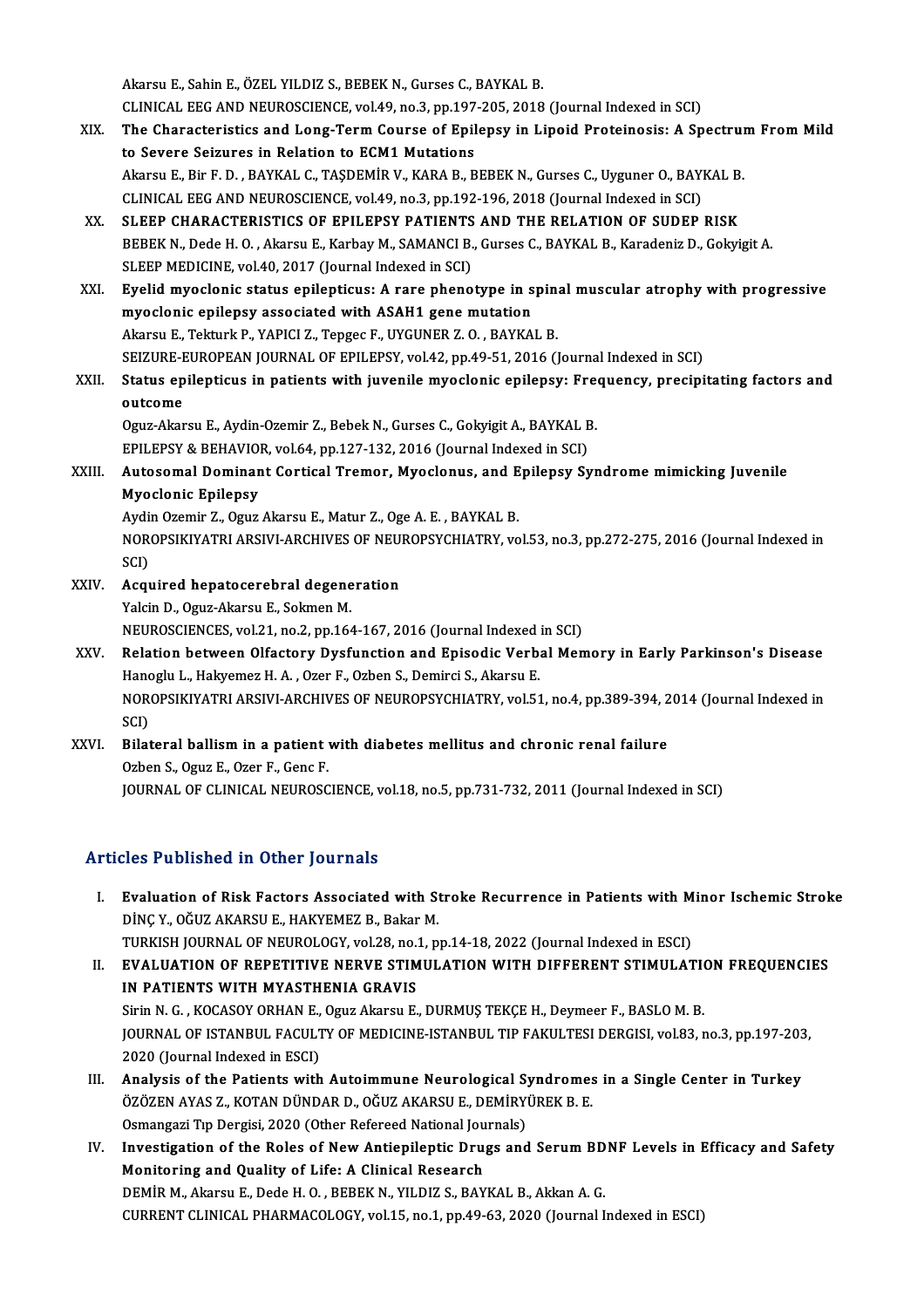Akarsu E., Sahin E., ÖZEL YILDIZ S., BEBEK N., Gurses C., BAYKAL B. Akarsu E., Sahin E., ÖZEL YILDIZ S., BEBEK N., Gurses C., BAYKAL B.<br>CLINICAL EEG AND NEUROSCIENCE, vol.49, no.3, pp.197-205, 2018 (Journal Indexed in SCI)<br>The Charasteristics and Lang Term Course of Enilangy in Lineid Prot

- XIX. The Characteristics and Long-Term Course of Epilepsy in Lipoid Proteinosis: A Spectrum From Mild<br>to Severe Seizures in Relation to ECM1 Mutations CLINICAL EEG AND NEUROSCIENCE, vol.49, no.3, pp.197<br>The Characteristics and Long-Term Course of Epil<br>to Severe Seizures in Relation to ECM1 Mutations<br>Algrey E. Bir E. D., BAYKAL G. TASDEMIR V. KARA B. B The Characteristics and Long-Term Course of Epilepsy in Lipoid Proteinosis: A Spectrum<br>to Severe Seizures in Relation to ECM1 Mutations<br>Akarsu E., Bir F. D. , BAYKAL C., TAŞDEMİR V., KARA B., BEBEK N., Gurses C., Uyguner O to Severe Seizures in Relation to ECM1 Mutations<br>Akarsu E., Bir F. D. , BAYKAL C., TAŞDEMİR V., KARA B., BEBEK N., Gurses C., Uyguner O., BAY!<br>CLINICAL EEG AND NEUROSCIENCE, vol.49, no.3, pp.192-196, 2018 (Journal Indexed Akarsu E., Bir F. D., BAYKAL C., TAŞDEMİR V., KARA B., BEBEK N., Gurses C., Uyguner O., BAYKAL B<br>CLINICAL EEG AND NEUROSCIENCE, vol.49, no.3, pp.192-196, 2018 (Journal Indexed in SCI)<br>XX. SLEEP CHARACTERISTICS OF EPILEPSY
- CLINICAL EEG AND NEUROSCIENCE, vol.49, no.3, pp.192-196, 2018 (Journal Indexed in SCI)<br>SLEEP CHARACTERISTICS OF EPILEPSY PATIENTS AND THE RELATION OF SUDEP RISK<br>BEBEK N., Dede H. O. , Akarsu E., Karbay M., SAMANCI B., Gurs SLEEP CHARACTERISTICS OF EPILEPSY PATIENTS<br>BEBEK N., Dede H. O. , Akarsu E., Karbay M., SAMANCI B.<br>SLEEP MEDICINE, vol.40, 2017 (Journal Indexed in SCI)<br>Fuelid muselenis status enilentique: A rare phene BEBEK N., Dede H. O. , Akarsu E., Karbay M., SAMANCI B., Gurses C., BAYKAL B., Karadeniz D., Gokyigit A.<br>SLEEP MEDICINE, vol.40, 2017 (Journal Indexed in SCI)<br>XXI. Eyelid myoclonic status epilepticus: A rare phenotype in s
- SLEEP MEDICINE, vol.40, 2017 (Journal Indexed in SCI)<br>Eyelid myoclonic status epilepticus: A rare phenotype in s<br>myoclonic epilepsy associated with ASAH1 gene mutation<br>Altareu E. Tolturk B. VABICLZ, Tongos E. UVCUNER Z.O., Eyelid myoclonic status epilepticus: A rare phenotype in spin:<br>myoclonic epilepsy associated with ASAH1 gene mutation<br>Akarsu E., Tekturk P., YAPICI Z., Tepgec F., UYGUNER Z. O., BAYKAL B.<br>SEIZURE EUROBEAN JOURNAL OF ERU ER myoclonic epilepsy associated with ASAH1 gene mutation<br>Akarsu E., Tekturk P., YAPICI Z., Tepgec F., UYGUNER Z. O. , BAYKAL B.<br>SEIZURE-EUROPEAN JOURNAL OF EPILEPSY, vol.42, pp.49-51, 2016 (Journal Indexed in SCI) Akarsu E., Tekturk P., YAPICI Z., Tepgec F., UYGUNER Z. O. , BAYKAL B.<br>SEIZURE-EUROPEAN JOURNAL OF EPILEPSY, vol.42, pp.49-51, 2016 (Journal Indexed in SCI)<br>XXII. Status epilepticus in patients with juvenile myoclonic epil
- SEIZURE-E<br>Status ep<br>outcome<br>Oguz Aler Status epilepticus in patients with juvenile myoclonic epilepsy: Free<br>outcome<br>Oguz-Akarsu E., Aydin-Ozemir Z., Bebek N., Gurses C., Gokyigit A., BAYKAL B.<br>EPU EBSV & REHAVIOR vol.64, np.127, 122, 2016 (Journal Indoved in S outcome<br>Oguz-Akarsu E., Aydin-Ozemir Z., Bebek N., Gurses C., Gokyigit A., BAYKAL B.

EPILEPSY & BEHAVIOR, vol.64, pp.127-132, 2016 (Journal Indexed in SCI)

XXIII. Autosomal Dominant Cortical Tremor, Myoclonus, and Epilepsy Syndrome mimicking Juvenile<br>Myoclonic Epilepsy Autosomal Dominant Cortical Tremor, Myoclonus, and E<br>Myoclonic Epilepsy<br>Aydin Ozemir Z., Oguz Akarsu E., Matur Z., Oge A. E. , BAYKAL B.<br>NOROBSIKIVATEL ARSIVI ARGHIVES OF NEUPORSYCHIATRY VO

NOROPSIKIYATRI ARSIVI-ARCHIVES OF NEUROPSYCHIATRY, vol.53, no.3, pp.272-275, 2016 (Journal Indexed in SCI) Aydi<br>NOR<br>SCI)<br>Ass: NOROPSIKIYATRI ARSIVI-ARCHIVES OF NEUS<br>SCI)<br>XXIV. Acquired hepatocerebral degeneration<br>Valgin D. Oguz Alarsu E. Solmon M

- SCI)<br>Acquired hepatocerebral degene<br>Yalcin D., Oguz-Akarsu E., Sokmen M.<br>NEUPOSCIENCES .vel 31 no 2 nn 166 Acquired hepatocerebral degeneration<br>Yalcin D., Oguz-Akarsu E., Sokmen M.<br>NEUROSCIENCES, vol.21, no.2, pp.164-167, 2016 (Journal Indexed in SCI)<br>Pelation between Olfastow Dysfunstion and Enisodis Verbal Men Yalcin D., Oguz-Akarsu E., Sokmen M.<br>NEUROSCIENCES, vol.21, no.2, pp.164-167, 2016 (Journal Indexed in SCI)<br>XXV. Relation between Olfactory Dysfunction and Episodic Verbal Memory in Early Parkinson's Disease
- NEUROSCIENCES, vol.21, no.2, pp.164-167, 2016 (Journal Indexed<br>Relation between Olfactory Dysfunction and Episodic Verb.<br>Hanoglu L., Hakyemez H. A. , Ozer F., Ozben S., Demirci S., Akarsu E.<br>NOROBSIKIVATELARSIVI ARCHIVES O Relation between Olfactory Dysfunction and Episodic Verbal Memory in Early Parkinson's Disease<br>Hanoglu L., Hakyemez H. A. , Ozer F., Ozben S., Demirci S., Akarsu E.<br>NOROPSIKIYATRI ARSIVI-ARCHIVES OF NEUROPSYCHIATRY, vol.51 Hanoglu L., Hakyemez H. A. , Ozer F., Ozben S., Demirci S., Akarsu E.<br>NOROPSIKIYATRI ARSIVI-ARCHIVES OF NEUROPSYCHIATRY, vol.51, no.4, pp.389-394, 2014 (Journal Indexed in<br>SCI) NOROPSIKIYATRI ARSIVI-ARCHIVES OF NEUROPSYCHIATRY, vol.51, no.4, pp.389-394, 2<br>SCI)<br>XXVI. Bilateral ballism in a patient with diabetes mellitus and chronic renal failure<br>Orban S. Orug E. Oran E. Cana F.
- SCI)<br>Bilateral ballism in a patient<br>Ozben S., Oguz E., Ozer F., Genc F.<br>JOUPMAL OF CLINICAL NEUPOSC Ozben S., Oguz E., Ozer F., Genc F.<br>JOURNAL OF CLINICAL NEUROSCIENCE, vol.18, no.5, pp.731-732, 2011 (Journal Indexed in SCI)

# Articles Published in Other Journals

I. Evaluation of Risk Factors Associated with Stroke Recurrence in Patients with Minor Ischemic Stroke<br>Dinc y Očuz AKARSU F HAKYEMEZ B Pokar M SEE TREMENCE IN CENT JOUTHERS<br>Evaluation of Risk Factors Associated with St<br>DİNÇ Y., OĞUZ AKARSU E., HAKYEMEZ B., Bakar M.<br>TURKISH JOURNAL OF NEUROLOCY .val 29 no 1 n DİNÇ Y., OĞUZ AKARSU E., HAKYEMEZ B., Bakar M.<br>TURKISH JOURNAL OF NEUROLOGY, vol.28, no.1, pp.14-18, 2022 (Journal Indexed in ESCI) DİNÇ Y., OĞUZ AKARSU E., HAKYEMEZ B., Bakar M.<br>TURKISH JOURNAL OF NEUROLOGY, vol.28, no.1, pp.14-18, 2022 (Journal Indexed in ESCI)<br>II. EVALUATION OF REPETITIVE NERVE STIMULATION WITH DIFFERENT STIMULATION FREQUENCIES<br>IN B

- TURKISH JOURNAL OF NEUROLOGY, vol28, no.<br>EVALUATION OF REPETITIVE NERVE STIMN<br>IN PATIENTS WITH MYASTHENIA GRAVIS<br>Sirin N.C., KOCASOV OPHAN E. Ogus Alcasov E EVALUATION OF REPETITIVE NERVE STIMULATION WITH DIFFERENT STIMULATION<br>IN PATIENTS WITH MYASTHENIA GRAVIS<br>Sirin N. G. , KOCASOY ORHAN E., Oguz Akarsu E., DURMUŞ TEKÇE H., Deymeer F., BASLO M. B.<br>JOUPMAL OF ISTANPUL FACULTY IN PATIENTS WITH MYASTHENIA GRAVIS<br>Sirin N. G. , KOCASOY ORHAN E., Oguz Akarsu E., DURMUŞ TEKÇE H., Deymeer F., BASLO M. B.<br>JOURNAL OF ISTANBUL FACULTY OF MEDICINE-ISTANBUL TIP FAKULTESI DERGISI, vol.83, no.3, pp.197-203,<br> Sirin N. G., KOCASOY ORHAN E., Oguz Akarsu E., DURMUŞ TEKÇE H., Deymeer F., BASLO M. B. I I. JOURNAL OF ISTANBUL FACULTY OF MEDICINE-ISTANBUL TIP FAKULTESI DERGISI, vol.83, no.3, pp.197-203<br>2020 (Journal Indexed in ESCI)<br>III. Analysis of the Patients with Autoimmune Neurological Syndromes in a Single Center i
- 2020 (Journal Indexed in ESCI)<br>Analysis of the Patients with Autoimmune Neurological Syndromes<br>ÖZÖZEN AYAS Z., KOTAN DÜNDAR D., OĞUZ AKARSU E., DEMİRYÜREK B. E.<br>Osmangari Tıp Dargisi 2020 (Othar Refereed National Journale) Analysis of the Patients with Autoimmune Neurological Sy<br>ÖZÖZEN AYAS Z., KOTAN DÜNDAR D., OĞUZ AKARSU E., DEMİRYI<br>Osmangazi Tıp Dergisi, 2020 (Other Refereed National Journals)<br>Investigation of the Boles of New Antionilent ÖZÖZEN AYAS Z., KOTAN DÜNDAR D., OĞUZ AKARSU E., DEMİRYÜREK B. E.<br>Osmangazi Tıp Dergisi, 2020 (Other Refereed National Journals)<br>IV. Investigation of the Roles of New Antiepileptic Drugs and Serum BDNF Levels in Efficacy a
- Osmangazi Tıp Dergisi, 2020 (Other Refereed National Journals)<br>Investigation of the Roles of New Antiepileptic Drugs and Serum BD<br>Monitoring and Quality of Life: A Clinical Research<br>DEMİR M., Akarsu E., Dede H. O., BEBEK N Investigation of the Roles of New Antiepileptic Drugs and Serum BD<br>Monitoring and Quality of Life: A Clinical Research<br>DEMİR M., Akarsu E., Dede H. O. , BEBEK N., YILDIZ S., BAYKAL B., Akkan A. G.<br>CUPPENT CLINICAL BHAPMACQ CURRENT CLINICAL PHARMACOLOGY, vol.15, no.1, pp.49-63, 2020 (Journal Indexed in ESCI)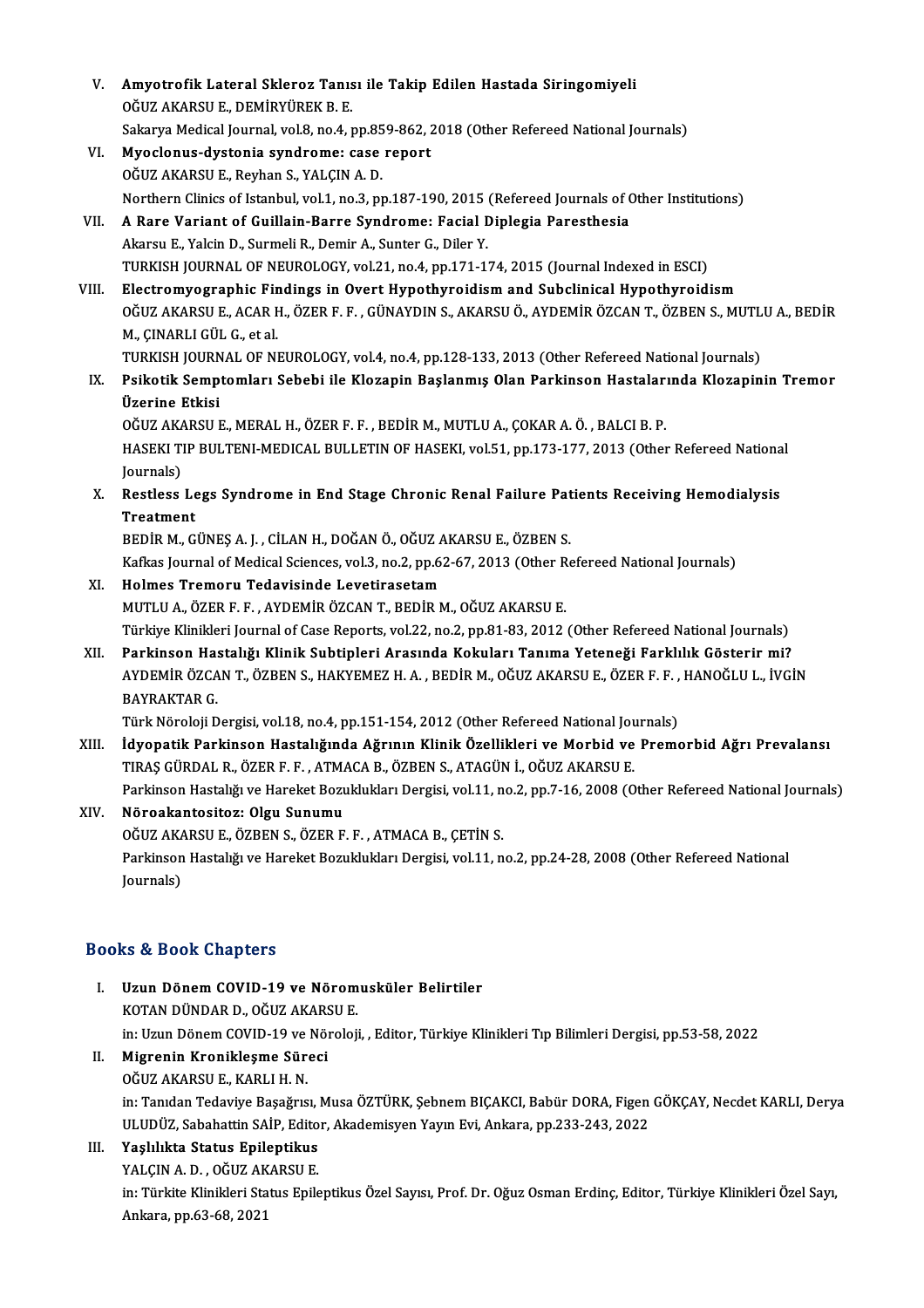V. Amyotrofik Lateral Skleroz Tanısı ile Takip Edilen Hastada Siringomiyeli Amyotrofik Lateral Skleroz Tanıs<br>OĞUZ AKARSU E., DEMİRYÜREK B. E.<br>Sakarıc Medisəl Jayınal val 9. na 4. t Amyotrofik Lateral Skleroz Tanısı ile Takip Edilen Hastada Siringomiyeli<br>OĞUZ AKARSU E., DEMİRYÜREK B. E.<br>Sakarya Medical Journal, vol.8, no.4, pp.859-862, 2018 (Other Refereed National Journals)<br>Muselanus dustania sundnam OĞUZ AKARSU E., DEMIRYÜREK B. E.<br>Sakarya Medical Journal, vol.8, no.4, pp.859-862, 2<br>VI. Myoclonus-dystonia syndrome: case report Sakarya Medical Journal, vol.8, no.4, pp.85<br>Myoclonus-dystonia syndrome: case<br>OĞUZ AKARSU E., Reyhan S., YALÇIN A. D.<br>Northern Clinics of Istanbul, vol.1, no.3, nu OĞUZ AKARSU E., Reyhan S., YALÇIN A. D.<br>Northern Clinics of Istanbul, vol.1, no.3, pp.187-190, 2015 (Refereed Journals of Other Institutions) OĞUZ AKARSU E., Reyhan S., YALÇIN A. D.<br>Northern Clinics of Istanbul, vol.1, no.3, pp.187-190, 2015 (Refereed Journals of C<br>VII. A Rare Variant of Guillain-Barre Syndrome: Facial Diplegia Paresthesia<br>Alpreu E. Yolgin D. Su Northern Clinics of Istanbul, vol.1, no.3, pp.187-190, 2015<br>A Rare Variant of Guillain-Barre Syndrome: Facial I<br>Akarsu E., Yalcin D., Surmeli R., Demir A., Sunter G., Diler Y.<br>TURKISH JOURNAL OF NEUROLOCY, vol.21, no.4, nn Akarsu E., Yalcin D., Surmeli R., Demir A., Sunter G., Diler Y.<br>TURKISH JOURNAL OF NEUROLOGY, vol.21, no.4, pp.171-174, 2015 (Journal Indexed in ESCI) Akarsu E., Yalcin D., Surmeli R., Demir A., Sunter G., Diler Y.<br>TURKISH JOURNAL OF NEUROLOGY, vol.21, no.4, pp.171-174, 2015 (Journal Indexed in ESCI)<br>VIII. Electromyographic Findings in Overt Hypothyroidism and Subclinica TURKISH JOURNAL OF NEUROLOGY, vol.21, no.4, pp.171-174, 2015 (Journal Indexed in ESCI)<br>Electromyographic Findings in Overt Hypothyroidism and Subclinical Hypothyroidism<br>OĞUZ AKARSU E., ACAR H., ÖZER F. F. , GÜNAYDIN S., AK Electromyographic Fir<br>OĞUZ AKARSU E., ACAR I<br>M., ÇINARLI GÜL G., et al.<br>TURKISH JOURNAL OF NI OĞUZ AKARSU E., ACAR H., ÖZER F. F. , GÜNAYDIN S., AKARSU Ö., AYDEMİR ÖZCAN T., ÖZBEN S., MUTL<br>M., ÇINARLI GÜL G., et al.<br>TURKISH JOURNAL OF NEUROLOGY, vol.4, no.4, pp.128-133, 2013 (Other Refereed National Journals)<br>Reika M., ÇINARLI GÜL G., et al.<br>TURKISH JOURNAL OF NEUROLOGY, vol.4, no.4, pp.128-133, 2013 (Other Refereed National Journals)<br>IX. Psikotik Semptomları Sebebi ile Klozapin Başlanmış Olan Parkinson Hastalarında Klozapinin Tr TURKISH JOURN<br>Psikotik Semp<br>Üzerine Etkisi<br>Očuz AKARSU I Psikotik Semptomları Sebebi ile Klozapin Başlanmış Olan Parkinson Hastaları<br>Üzerine Etkisi<br>OĞUZ AKARSU E., MERAL H., ÖZER F. F. , BEDİR M., MUTLU A., ÇOKAR A. Ö. , BALCI B. P.<br>HASEKI TIR PULTENI MEDICAL PULLETIN OF HASEKI Üzerine Etkisi<br>OĞUZ AKARSU E., MERAL H., ÖZER F. F. , BEDİR M., MUTLU A., ÇOKAR A. Ö. , BALCI B. P.<br>HASEKI TIP BULTENI-MEDICAL BULLETIN OF HASEKI, vol.51, pp.173-177, 2013 (Other Refereed National<br>Journals) OĞUZ AKARSU E., MERAL H., ÖZER F. F., BEDİR M., MUTLU A., ÇOKAR A. Ö., BALCI B. P. HASEKI TIP BULTENI-MEDICAL BULLETIN OF HASEKI, vol.51, pp.173-177, 2013 (Other Refereed Nationa<br>Journals)<br>X. Restless Legs Syndrome in End Stage Chronic Renal Failure Patients Receiving Hemodialysis<br>Treatment Journals)<br>Restless Le<br>Treatment<br>PEDIP M. C Restless Legs Syndrome in End Stage Chronic Renal Failure Pat<br>Treatment<br>BEDİR M., GÜNEŞ A. J. , CİLAN H., DOĞAN Ö., OĞUZ AKARSU E., ÖZBEN S.<br>Kafkas Journal of Modisal Ssianses val 3, no 3, nn 62, 67, 2013 (Other Be Treatment<br>BEDİR M., GÜNEŞ A. J. , CİLAN H., DOĞAN Ö., OĞUZ AKARSU E., ÖZBEN S.<br>Kafkas Journal of Medical Sciences, vol.3, no.2, pp.62-67, 2013 (Other Refereed National Journals)<br>Helmes Tremeru Tedevisinde Levetiresetam BEDİR M., GÜNEŞ A. J. , CİLAN H., DOĞAN Ö., OĞUZ AKARSU E., ÖZBEN S.<br>Kafkas Journal of Medical Sciences, vol.3, no.2, pp.62-67, 2013 (Other Re<br>XI. Holmes Tremoru Tedavisinde Levetirasetam<br>MUTLU A., ÖZER F. F. , AYDEMİR ÖZC Kafkas Journal of Medical Sciences, vol.3, no.2, pp.62-67, 2013 (Other R<br>Holmes Tremoru Tedavisinde Levetirasetam<br>MUTLU A., ÖZER F. F. , AYDEMİR ÖZCAN T., BEDİR M., OĞUZ AKARSU E.<br>Türkiye Klinikleri Journal of Case Benerts Holmes Tremoru Tedavisinde Levetirasetam<br>MUTLU A., ÖZER F. F. , AYDEMİR ÖZCAN T., BEDİR M., OĞUZ AKARSU E.<br>Türkiye Klinikleri Journal of Case Reports, vol.22, no.2, pp.81-83, 2012 (Other Refereed National Journals)<br>Parkins MUTLU A., ÖZER F. F. , AYDEMİR ÖZCAN T., BEDİR M., OĞUZ AKARSU E.<br>Türkiye Klinikleri Journal of Case Reports, vol.22, no.2, pp.81-83, 2012 (Other Refereed National Journals)<br>XII. Parkinson Hastalığı Klinik Subtipleri A Türkiye Klinikleri Journal of Case Reports, vol.22, no.2, pp.81-83, 2012 (Other Refereed National Journals)<br>Parkinson Hastalığı Klinik Subtipleri Arasında Kokuları Tanıma Yeteneği Farklılık Gösterir mi?<br>AYDEMİR ÖZCAN T., Ö Parkinson Hastalığı Klinik Subtipleri Arasında Kokuları Tanıma Yeteneği Farklılık Gösterir mi?<br>AYDEMİR ÖZCAN T., ÖZBEN S., HAKYEMEZ H. A. , BEDİR M., OĞUZ AKARSU E., ÖZER F. F. , HANOĞLU L., İVGİN<br>BAYRAKTAR G. AYDEMİR ÖZCAN T., ÖZBEN S., HAKYEMEZ H. A. , BEDİR M., OĞUZ AKARSU E., ÖZER F. F. ,<br>BAYRAKTAR G.<br>Türk Nöroloji Dergisi, vol.18, no.4, pp.151-154, 2012 (Other Refereed National Journals)<br>İduanatik Barkinson Hastalığında Ağr XIII. İdyopatik Parkinson Hastalığında Ağrının Klinik Özellikleri ve Morbid ve Premorbid Ağrı Prevalansı<br>TIRAS GÜRDAL R., ÖZER F. , ATMACA B., ÖZBEN S., ATAGÜN İ., OĞUZ AKARSU E. Türk Nöroloji Dergisi, vol.18, no.4, pp.151-154, 2012 (Other Refereed National Journal Journal of Markinson Hastalığında Ağrının Klinik Özellikleri ve Morbid ve TIRAŞ GÜRDAL R., ÖZER F. F. , ATMACA B., ÖZBEN S., ATAGÜN İ., İdyopatik Parkinson Hastalığında Ağrının Klinik Özellikleri ve Morbid ve Premorbid Ağrı Prevalansı<br>TIRAŞ GÜRDAL R., ÖZER F. F. , ATMACA B., ÖZBEN S., ATAGÜN İ., OĞUZ AKARSU E.<br>Parkinson Hastalığı ve Hareket Bozuklukları De TIRAŞ GÜRDAL R., ÖZER F. F. , ATM.<br>Parkinson Hastalığı ve Hareket Bozi<br>XIV. Nöroakantositoz: Olgu Sunumu Parkinson Hastalığı ve Hareket Bozuklukları Dergisi, vol.11, n<br>Nöroakantositoz: Olgu Sunumu<br>OĞUZ AKARSU E., ÖZBEN S., ÖZER F. F. , ATMACA B., ÇETİN S.<br>Parkinson Hastalığı ve Harekat Bosuklukları Dergisi vol.11 n Nöroakantositoz: Olgu Sunumu<br>OĞUZ AKARSU E., ÖZBEN S., ÖZER F. F. , ATMACA B., ÇETİN S.<br>Parkinson Hastalığı ve Hareket Bozuklukları Dergisi, vol.11, no.2, pp.24-28, 2008 (Other Refereed National OĞUZ AK*l*<br>Parkinson<br>Journals) Journals)<br>Books & Book Chapters

- OOks & Book Chapters<br>I. Uzun Dönem COVID-19 ve Nöromusküler Belirtiler<br>KOTAN DÜNDAR D. QĞUZ AKARSU E ko & Door Grapeers<br>Uzun Dönem COVID-19 ve Nörom<br>KOTAN DÜNDAR D., OĞUZ AKARSU E. Uzun Dönem COVID-19 ve Nöromusküler Belirtiler<br>KOTAN DÜNDAR D., OĞUZ AKARSU E.<br>in: Uzun Dönem COVID-19 ve Nöroloji, , Editor, Türkiye Klinikleri Tıp Bilimleri Dergisi, pp.53-58, 2022<br>Migranin Kraniklesme Süresi KOTAN DÜNDAR D., OĞUZ AKARSU E.<br>in: Uzun Dönem COVID-19 ve Nöroloji<br>II. Migrenin Kronikleşme Süreci<br>OĞUZ AKARSU E., KARLI H. N.
- in: Uzun Dönem COVID-19 ve<br>Migrenin Kronikleşme Sür<br>OĞUZ AKARSU E., KARLI H. N.<br>in: Tandan Tadaviya Basağus Migrenin Kronikleşme Süreci<br>OĞUZ AKARSU E., KARLI H. N.<br>in: Tanıdan Tedaviye Başağrısı, Musa ÖZTÜRK, Şebnem BIÇAKCI, Babür DORA, Figen GÖKÇAY, Necdet KARLI, Derya<br>ULUDÜZ, Sebahattin SAİR Editar, Akademisyon Yayın Eyi, Anka OĞUZ AKARSU E., KARLI H. N.<br>in: Tanıdan Tedaviye Başağrısı, Musa ÖZTÜRK, Şebnem BIÇAKCI, Babür DORA, Figen<br>ULUDÜZ, Sabahattin SAİP, Editor, Akademisyen Yayın Evi, Ankara, pp.233-243, 2022<br>Yoskkikte Stetus Epilentikus ULUDÜZ, Sabahattin SAİP, Editor, Akademisyen Yayın Evi, Ankara, pp.233-243, 2022

# III. Yaşlılıkta Status Epileptikus

YALCIN A.D., OĞUZ AKARSU E.

in: Türkite Klinikleri Status Epileptikus Özel Sayısı, Prof. Dr. Oğuz Osman Erdinç, Editor, Türkiye Klinikleri Özel Sayı,<br>Ankara, pp.63-68, 2021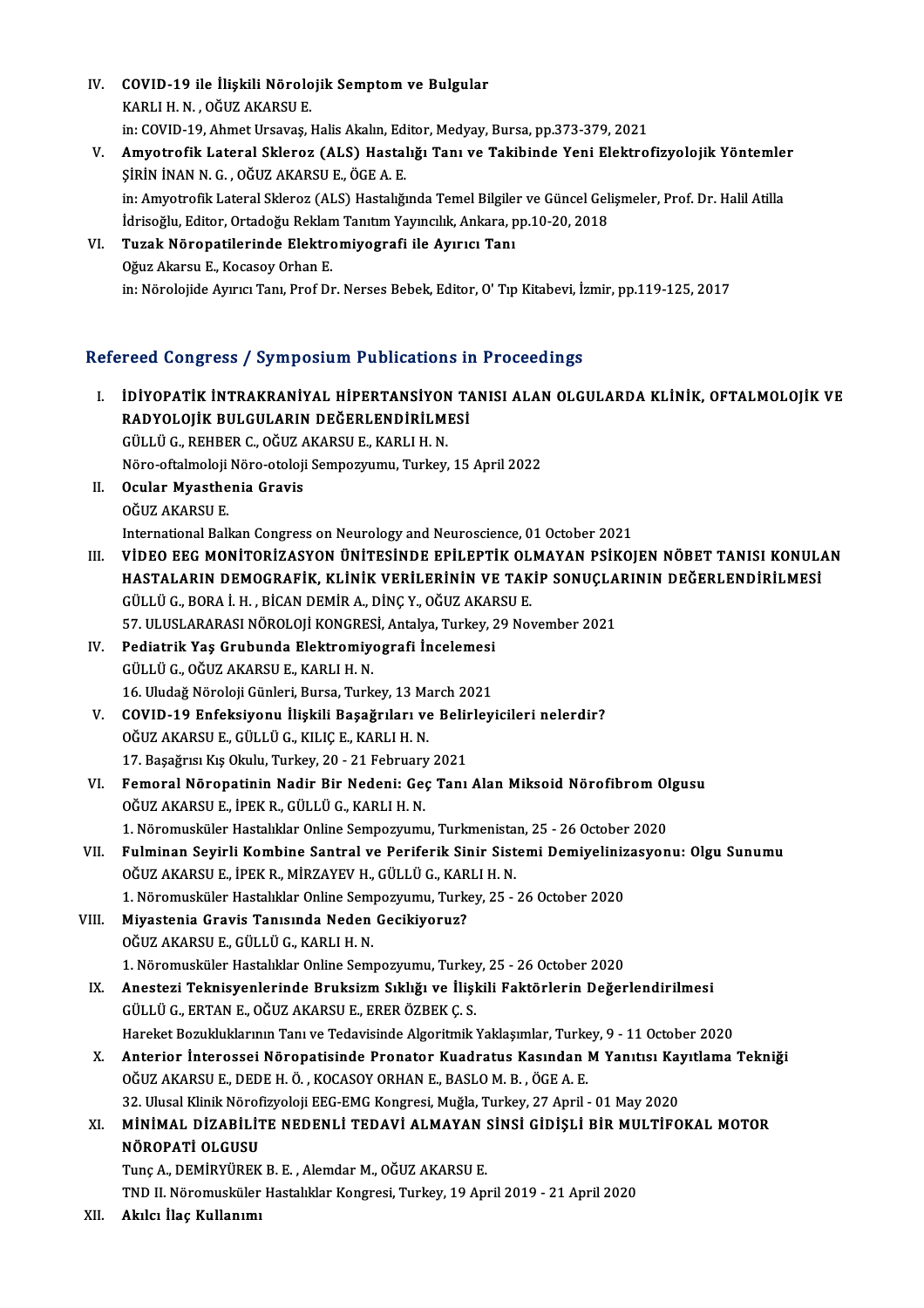- IV. COVID-19 ile İlişkili Nörolojik Semptom ve Bulgular<br>KARLLH N. QĞUZ AKARSU E COVID-19 ile İlişkili Nörolo<br>KARLI H. N. , OĞUZ AKARSU E.<br>in: COVID 19. Ahmet Ursayas . COVID-19 ile İlişkili Nörolojik Semptom ve Bulgular<br>KARLI H. N. , OĞUZ AKARSU E.<br>in: COVID-19, Ahmet Ursavaş, Halis Akalın, Editor, Medyay, Bursa, pp.373-379, 2021<br>Amyetrofik Lataral Sklaner (ALS) Hastalığı Tanı ve Takihin KARLI H. N. , OĞUZ AKARSU E.<br>in: COVID-19, Ahmet Ursavaş, Halis Akalın, Editor, Medyay, Bursa, pp.373-379, 2021<br>V. Amyotrofik Lateral Skleroz (ALS) Hastalığı Tanı ve Takibinde Yeni Elektrofizyolojik Yöntemler<br>Sinin iNA
- in: COVID-19, Ahmet Ursavaş, Halis Akalın, Ed:<br>Amyotrofik Lateral Skleroz (ALS) Hastal<br>ŞİRİN İNAN N. G. , OĞUZ AKARSU E., ÖGE A. E.<br>in: Amyotrofik Lateral Skleroz (ALS) Hastalığı Amyotrofik Lateral Skleroz (ALS) Hastalığı Tanı ve Takibinde Yeni Elektrofizyolojik Yöntemle:<br>ŞİRİN İNAN N. G. , OĞUZ AKARSU E., ÖGE A. E.<br>in: Amyotrofik Lateral Skleroz (ALS) Hastalığında Temel Bilgiler ve Güncel Gelişmel ŞİRİN İNAN N. G. , OĞUZ AKARSU E., ÖGE A. E.<br>in: Amyotrofik Lateral Skleroz (ALS) Hastalığında Temel Bilgiler ve Güncel Gelişmeler, Prof. Dr. Halil Atilla İdrisoğlu, Editor, Ortadoğu Reklam Tanıtım Yayıncılık, Ankara, pp.10-20, 2018
- VI. Tuzak Nöropatilerinde Elektromiyografi ile Ayırıcı Tanı in: Nörolojide Ayırıcı Tanı, Prof Dr. Nerses Bebek, Editor, O'Tıp Kitabevi, İzmir, pp.119-125, 2017

# Refereed Congress / Symposium Publications in Proceedings

- I. İDİYOPATİK İNTRAKRANİYAL HİPERTANSİYON TANISI ALAN OLGULARDA KLİNİK, OFTALMOLOJİK VE RADYOLOJİK BULGULARIN DEĞERLENDİRİLMESİ İDİYOPATİK İNTRAKRANİYAL HİPERTANSİYON<br>RADYOLOJİK BULGULARIN DEĞERLENDİRİLMI<br>GÜLLÜ G., REHBER C., OĞUZ AKARSU E., KARLI H. N.<br>Nöre eftelmeleli Nöre eteleli Semnewnumu, Turkey RADYOLOJİK BULGULARIN DEĞERLENDİRİLMESİ<br>GÜLLÜ G., REHBER C., OĞUZ AKARSU E., KARLI H. N.<br>Nöro-oftalmoloji Nöro-otoloji Sempozyumu, Turkey, 15 April 2022<br>Qaylar Myasthonia Cravis GÜLLÜ G., REHBER C., OĞUZ A<br>Nöro-oftalmoloji Nöro-otoloji<br>II. Očuz AKARSU E Nöro-oftalmoloji<br>Ocular Myasthe<br>OĞUZ AKARSU E.<br>International Pall II. Ocular Myasthenia Gravis<br>OĞUZ AKARSU E.<br>International Balkan Congress on Neurology and Neuroscience, 01 October 2021 OĞUZ AKARSU E.<br>International Balkan Congress on Neurology and Neuroscience, 01 October 2021<br>III. VİDEO EEG MONİTORİZASYON ÜNİTESİNDE EPİLEPTİK OLMAYAN PSİKOJEN NÖBET TANISI KONULAN<br>HASTALARIN DEMOCRAFİK, KLİNİK VERLI E International Balkan Congress on Neurology and Neuroscience, 01 October 2021<br>VİDEO EEG MONİTORİZASYON ÜNİTESİNDE EPİLEPTİK OLMAYAN PSİKOJEN NÖBET TANISI KONUL*l*<br>HASTALARIN DEMOGRAFİK, KLİNİK VERİLERİNİN VE TAKİP SONUÇLARI VİDEO EEG MONİTORİZASYON ÜNİTESİNDE EPİLEPTİK OL<br>HASTALARIN DEMOGRAFİK, KLİNİK VERİLERİNİN VE TAK<br>GÜLLÜ G., BORA İ. H. , BİCAN DEMİR A., DİNÇ Y., OĞUZ AKARSU E.<br>57. HI HSLARARASI NÖROLOU KONCRESL ARTAKA TURKAY 29 NO HASTALARIN DEMOGRAFİK, KLİNİK VERİLERİNİN VE TAKİP SONUÇLARININ DEĞERLENDİRİLMESİ<br>GÜLLÜ G., BORA İ. H. , BİCAN DEMİR A., DİNÇ Y., OĞUZ AKARSU E.<br>57. ULUSLARARASI NÖROLOJİ KONGRESİ. Antalya, Turkey, 29 November 2021 GÜLLÜ G., BORA İ. H. , BİCAN DEMİR A., DİNÇ Y., OĞUZ AKAF<br>57. ULUSLARARASI NÖROLOJİ KONGRESİ, Antalya, Turkey, 2<br>IV. Pediatrik Yaş Grubunda Elektromiyografi İncelemesi<br>6. CÜLLÜ G. QĞUZ AKABSU E. KABLLH N 57. ULUSLARARASI NÖROLOJİ KONGRES<br>Pediatrik Yaş Grubunda Elektromiye.<br>GÜLLÜ G., OĞUZ AKARSU E., KARLI H. N.<br>16. Uludağ Nörolaji Günleri, Burse. Turk Pediatrik Yaş Grubunda Elektromiyografi İncelemesi<br>GÜLLÜ G., OĞUZ AKARSU E., KARLI H. N.<br>16. Uludağ Nöroloji Günleri, Bursa, Turkey, 13 March 2021<br>COVID 19. Enfeksiyenu, İlişkili Basağruları ve Balinleyi GÜLLÜ G., OĞUZ AKARSU E., KARLI H. N.<br>16. Uludağ Nöroloji Günleri, Bursa, Turkey, 13 March 2021<br>V. COVID-19 Enfeksiyonu İlişkili Başağrıları ve Belirleyicileri nelerdir?<br>OĞUZ AKARSU E. GÜLLÜ G. KU IC E. KARLLH N. 16. Uludağ Nöroloji Günleri, Bursa, Turkey, 13 March 2021<br>COVID-19 Enfeksiyonu İlişkili Başağrıları ve Belirley<br>OĞUZ AKARSU E., GÜLLÜ G., KILIÇ E., KARLI H. N.<br>17. Başağrısı Kış Okulu, Turkey, 20 - 21 February 2021 COVID-19 Enfeksiyonu İlişkili Başağrıları ve Belir<br>OĞUZ AKARSU E., GÜLLÜ G., KILIÇ E., KARLI H. N.<br>17. Başağrısı Kış Okulu, Turkey, 20 - 21 February 2021<br>Femaral Nörenatinin Nadir Bir Nadeni: Cee Tenı OĞUZ AKARSU E., GÜLLÜ G., KILIÇ E., KARLI H. N.<br>17. Başağrısı Kış Okulu, Turkey, 20 - 21 February 2021<br>VI. Femoral Nöropatinin Nadir Bir Nedeni: Geç Tanı Alan Miksoid Nörofibrom Olgusu<br>OĞUZ AKARSU E. İDEK B. GÜLLÜ G. K OĞUZ AKARSU E., İPEK R., GÜLLÜ G., KARLI H. N.<br>1. Nöromusküler Hastalıklar Online Sempozyumu, Turkmenistan, 25 - 26 October 2020 Femoral Nöropatinin Nadir Bir Nedeni: Geç Tanı Alan Miksoid Nörofibrom Ol<br>OĞUZ AKARSU E., İPEK R., GÜLLÜ G., KARLI H. N.<br>1. Nöromusküler Hastalıklar Online Sempozyumu, Turkmenistan, 25 - 26 October 2020<br>Eulminan Sevinli Ka OĞUZ AKARSU E., İPEK R., GÜLLÜ G., KARLI H. N.<br>1. Nöromusküler Hastalıklar Online Sempozyumu, Turkmenistan, 25 - 26 October 2020<br>VII. Fulminan Seyirli Kombine Santral ve Periferik Sinir Sistemi Demiyelinizasyonu: Olgu 1. Nöromusküler Hastalıklar Online Sempozyumu, Turkmenista<br>Fulminan Seyirli Kombine Santral ve Periferik Sinir Sist<br>OĞUZ AKARSU E., İPEK R., MİRZAYEV H., GÜLLÜ G., KARLI H. N.<br>1. Nöromusküler Hastalıklar Online Semperumu, Fulminan Seyirli Kombine Santral ve Periferik Sinir Sistemi Demiyeliniz<br>OĞUZ AKARSU E., İPEK R., MİRZAYEV H., GÜLLÜ G., KARLI H. N.<br>1. Nöromusküler Hastalıklar Online Sempozyumu, Turkey, 25 - 26 October 2020<br>Miyastania Cra OĞUZ AKARSU E., İPEK R., MİRZAYEV H., GÜLLÜ G., KARLI H. N.<br>1. Nöromusküler Hastalıklar Online Sempozyumu, Turkey, 25 -<br>VIII. Miyastenia Gravis Tanısında Neden Gecikiyoruz?<br>OĞUZ AKARSU E., GÜLLÜ G., KARLI H. N. 1. Nöromusküler Hastalıklar Online Sempozyumu, Turkey, 25 - 26 October 2020 1. Nöromusküler Hastalıklar Online Sempozyumu, Turkey, 25 - 26 October 2020 IX. Anestezi Teknisyenlerinde BruksizmSıklığı ve İlişkili Faktörlerin Değerlendirilmesi GÜLLÜG.,ERTANE.,OĞUZAKARSUE.,ERERÖZBEKÇ.S. Hareket Bozukluklarının Tanı ve Tedavisinde Algoritmik Yaklaşımlar, Turkey, 9 - 11 October 2020 GÜLLÜ G., ERTAN E., OĞUZ AKARSU E., ERER ÖZBEK Ç. S.<br>Hareket Bozukluklarının Tanı ve Tedavisinde Algoritmik Yaklaşımlar, Turkey, 9 - 11 October 2020<br>X. Anterior İnterossei Nöropatisinde Pronator Kuadratus Kasından M Yanıtı OĞUZ AKARSU E., DEDE H. Ö. , KOCASOY ORHAN E., BASLO M. B. , ÖGE A. E.<br>32. Ulusal Klinik Nörofizyoloji EEG-EMG Kongresi, Muğla, Turkey, 27 April - 01 May 2020 Anterior İnterossei Nöropatisinde Pronator Kuadratus Kasından M Yanıtısı Kay<br>OĞUZ AKARSU E., DEDE H. Ö. , KOCASOY ORHAN E., BASLO M. B. , ÖGE A. E.<br>32. Ulusal Klinik Nörofizyoloji EEG-EMG Kongresi, Muğla, Turkey, 27 April OĞUZ AKARSU E., DEDE H. Ö. , KOCASOY ORHAN E., BASLO M. B. , ÖGE A. E.<br>32. Ulusal Klinik Nörofizyoloji EEG-EMG Kongresi, Muğla, Turkey, 27 April - 01 May 2020<br>XI. MİNİMAL DİZABİLİTE NEDENLİ TEDAVİ ALMAYAN SİNSİ GİDİŞLİ BİR 32. Ulusal Klinik Nörof<br>MİNİMAL DİZABİLİT<br>NÖROPATİ OLGUSU<br>Tuna A DEMİRVÜREK MİNİMAL DİZABİLİTE NEDENLİ TEDAVİ ALMAYAN :<br>NÖROPATİ OLGUSU<br>Tunç A., DEMİRYÜREK B. E. , Alemdar M., OĞUZ AKARSU E.<br>TND IL Näromusküler Hestabliker Konstesi Turkey 19 Anı NÖROPATİ OLGUSU<br>Tunç A., DEMİRYÜREK B. E. , Alemdar M., OĞUZ AKARSU E.<br>TND II. Nöromusküler Hastalıklar Kongresi, Turkey, 19 April 2019 - 21 April 2020
	-
- XII. Akılcı İlaç Kullanımı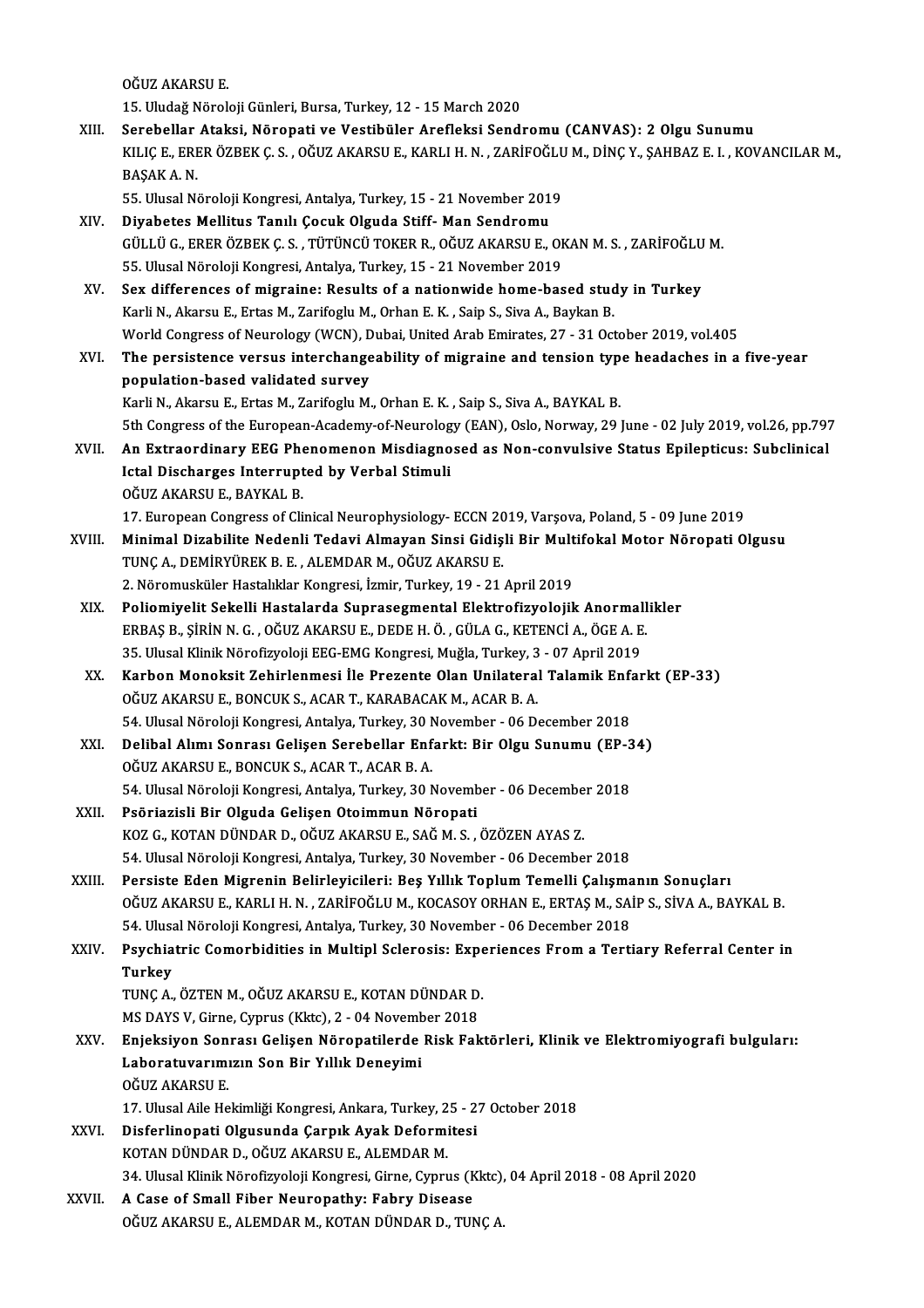OĞUZAKARSUE.

15.UludağNörolojiGünleri,Bursa,Turkey,12 -15March 2020

OĞUZ AKARSU E.<br>15. Uludağ Nöroloji Günleri, Bursa, Turkey, 12 - 15 March 2020<br>XIII. Serebellar Ataksi, Nöropati ve Vestibüler Arefleksi Sendromu (CANVAS): 2 Olgu Sunumu<br>XII I.C.E. ERER ÖZREK C.S. QĞUZ AKARSU E. KARLLH N. Z 15. Uludağ Nöroloji Günleri, Bursa, Turkey, 12 - 15 March 2020<br>Serebellar Ataksi, Nöropati ve Vestibüler Arefleksi Sendromu (CANVAS): 2 Olgu Sunumu<br>KILIÇ E., ERER ÖZBEK Ç. S. , OĞUZ AKARSU E., KARLI H. N. , ZARİFOĞLU M., D Serebellar<br>KILIÇ E., ERI<br>BAŞAK A. N.<br>55. Ulucal N KILIÇ E., ERER ÖZBEK Ç. S. , OĞUZ AKARSU E., KARLI H. N. , ZARİFOĞLU<br>BAŞAK A. N.<br>55. Ulusal Nöroloji Kongresi, Antalya, Turkey, 15 - 21 November 2019<br>Divabates Mellitus Tapılı Cesuk Olsuda Stiff, Man Sandromu BAŞAK A. N.<br>55. Ulusal Nöroloji Kongresi, Antalya, Turkey, 15 - 21 November 2019<br>XIV. Diyabetes Mellitus Tanılı Çocuk Olguda Stiff- Man Sendromu

- 55. Ulusal Nöroloji Kongresi, Antalya, Turkey, 15 21 November 2019<br>Diyabetes Mellitus Tanılı Çocuk Olguda Stiff- Man Sendromu<br>GÜLLÜ G., ERER ÖZBEK Ç. S. , TÜTÜNCÜ TOKER R., OĞUZ AKARSU E., OKAN M. S. , ZARİFOĞLU M.<br>55. U Diyabetes Mellitus Tanılı Çocuk Olguda Stiff- Man Sendromu<br>GÜLLÜ G., ERER ÖZBEK Ç. S. , TÜTÜNCÜ TOKER R., OĞUZ AKARSU E., OF<br>55. Ulusal Nöroloji Kongresi, Antalya, Turkey, 15 - 21 November 2019<br>Sex differences of misraine: GÜLLÜ G., ERER ÖZBEK Ç. S. , TÜTÜNCÜ TOKER R., OĞUZ AKARSU E., OKAN M. S. , ZARİFOĞLU<br>55. Ulusal Nöroloji Kongresi, Antalya, Turkey, 15 - 21 November 2019<br>XV. Sex differences of migraine: Results of a nationwide home-based
- 55. Ulusal Nöroloji Kongresi, Antalya, Turkey, 15 21 November 2019<br>Sex differences of migraine: Results of a nationwide home-based stud<br>Karli N., Akarsu E., Ertas M., Zarifoglu M., Orhan E. K. , Saip S., Siva A., Baykan Karli N., Akarsu E., Ertas M., Zarifoglu M., Orhan E. K. , Saip S., Siva A., Baykan B.<br>World Congress of Neurology (WCN), Dubai, United Arab Emirates, 27 - 31 October 2019, vol.405 Karli N., Akarsu E., Ertas M., Zarifoglu M., Orhan E. K. , Saip S., Siva A., Baykan B.<br>World Congress of Neurology (WCN), Dubai, United Arab Emirates, 27 - 31 October 2019, vol.405<br>XVI. The persistence versus interchan
- World Congress of Neurology (WCN), D<br>The persistence versus interchange<br>population-based validated survey<br>Karli N. Almreu E. Ertes M. Zarifoglu M. population-based validated survey<br>Karli N., Akarsu E., Ertas M., Zarifoglu M., Orhan E. K. , Saip S., Siva A., BAYKAL B. 5th Congress of the European-Academy-of-Neurology (EAN), Oslo, Norway, 29 June - 02 July 2019, vol.26, pp.797
- Karli N., Akarsu E., Ertas M., Zarifoglu M., Orhan E. K. , Saip S., Siva A., BAYKAL B.<br>5th Congress of the European-Academy-of-Neurology (EAN), Oslo, Norway, 29 June 02 July 2019, vol.26, pp.797<br>2011. An Extraordinary EE 5th Congress of the European-Academy-of-Neurolog<br>An Extraordinary EEG Phenomenon Misdiagno<br>Ictal Discharges Interrupted by Verbal Stimuli<br>OČUZ AKARSUE PAYKAL P An Extraordinary EEG Phe<br>Ictal Discharges Interrupt<br>OĞUZ AKARSU E., BAYKAL B.<br>17 Euronean Congress of Cli Ictal Discharges Interrupted by Verbal Stimuli<br>OĞUZ AKARSU E., BAYKAL B.<br>17. European Congress of Clinical Neurophysiology- ECCN 2019, Varşova, Poland, 5 - 09 June 2019<br>Minimal Dirabilite Nedenli Tedevi Almayan Sinsi Cidia OĞUZ AKARSU E., BAYKAL B.<br>17. European Congress of Clinical Neurophysiology- ECCN 2019, Varşova, Poland, 5 - 09 June 2019<br>XVIII. Minimal Dizabilite Nedenli Tedavi Almayan Sinsi Gidişli Bir Multifokal Motor Nöropati Olg

- 17. European Congress of Clinical Neurophysiology- ECCN 20<br>Minimal Dizabilite Nedenli Tedavi Almayan Sinsi Gidiş<br>TUNÇ A., DEMİRYÜREK B. E. , ALEMDAR M., OĞUZ AKARSU E. Minimal Dizabilite Nedenli Tedavi Almayan Sinsi Gidişli Bir Multifokal Motor Nöropati Olgusu<br>TUNÇ A., DEMİRYÜREK B. E. , ALEMDAR M., OĞUZ AKARSU E.<br>2. Nöromusküler Hastalıklar Kongresi, İzmir, Turkey, 19 - 21 April 2019 TUNÇ A., DEMİRYÜREK B. E. , ALEMDAR M., OĞUZ AKARSU E.<br>2. Nöromusküler Hastalıklar Kongresi, İzmir, Turkey, 19 - 21 April 2019<br>XIX. Poliomiyelit Sekelli Hastalarda Suprasegmental Elektrofizyolojik Anormallikler<br>ERRAS R. Sİ
- 2. Nöromusküler Hastalıklar Kongresi, İzmir, Turkey, 19 21 April 2019<br>Poliomiyelit Sekelli Hastalarda Suprasegmental Elektrofizyolojik Anormall<br>ERBAŞ B., ŞİRİN N. G. , OĞUZ AKARSU E., DEDE H. Ö. , GÜLA G., KETENCİ A., ÖG Poliomiyelit Sekelli Hastalarda Suprasegmental Elektrofizyolojik Anormal<br>ERBAŞ B., ŞİRİN N. G. , OĞUZ AKARSU E., DEDE H. Ö. , GÜLA G., KETENCİ A., ÖGE A. E<br>35. Ulusal Klinik Nörofizyoloji EEG-EMG Kongresi, Muğla, Turkey, 3 35. Ulusal Klinik Nörofizyoloji EEG-EMG Kongresi, Muğla, Turkey, 3 - 07 April 2019
- ERBAŞ B., ŞİRİN N. G. , OĞUZ AKARSU E., DEDE H. Ö. , GÜLA G., KETENCİ A., ÖGE A. E.<br>35. Ulusal Klinik Nörofizyoloji EEG-EMG Kongresi, Muğla, Turkey, 3 07 April 2019<br>XX. Karbon Monoksit Zehirlenmesi İle Prezente Olan Unil Karbon Monoksit Zehirlenmesi İle Prezente Olan Unilateral Talamik Enfa<br>OĞUZ AKARSU E., BONCUK S., ACAR T., KARABACAK M., ACAR B. A.<br>54. Ulusal Nöroloji Kongresi, Antalya, Turkey, 30 November - 06 December 2018<br>Delihal Alım OĞUZ AKARSU E., BONCUK S., ACAR T., KARABACAK M., ACAR B. A.<br>54. Ulusal Nöroloji Kongresi, Antalya, Turkey, 30 November - 06 December 2018<br>XXI. Delibal Alımı Sonrası Gelişen Serebellar Enfarkt: Bir Olgu Sunumu (EP-34)<br>OĞUZ
- 54. Ulusal Nöroloji Kongresi, Antalya, Turkey, 30 M<br>Delibal Alımı Sonrası Gelişen Serebellar Enf<br>OĞUZ AKARSU E., BONCUK S., ACAR T., ACAR B. A.<br>54. Ulusal Nöroloji Kongresi, Antalya Turkey, 30 M Delibal Alımı Sonrası Gelişen Serebellar Enfarkt: Bir Olgu Sunumu (EP-3<br>OĞUZ AKARSU E., BONCUK S., ACAR T., ACAR B. A.<br>54. Ulusal Nöroloji Kongresi, Antalya, Turkey, 30 November - 06 December 2018<br>Peğrioriali Bir Olaude Ce OĞUZ AKARSU E., BONCUK S., ACAR T., ACAR B. A.<br>54. Ulusal Nöroloji Kongresi, Antalya, Turkey, 30 Novem<br>XXII. Psöriazisli Bir Olguda Gelişen Otoimmun Nöropati<br>KOZ G. KOTAN DÜNDAR D. OĞUZ AKARSU E. SAĞ M. S
- 54. Ulusal Nöroloji Kongresi, Antalya, Turkey, 30 November 06 Decembe<br>Psöriazisli Bir Olguda Gelişen Otoimmun Nöropati<br>KOZ G., KOTAN DÜNDAR D., OĞUZ AKARSU E., SAĞ M. S. , ÖZÖZEN AYAS Z.<br>54. Ulusal Nöroloji Kongresi, Ant Psöriazisli Bir Olguda Gelişen Otoimmun Nöropati<br>KOZ G., KOTAN DÜNDAR D., OĞUZ AKARSU E., SAĞ M. S. , ÖZÖZEN AYAS Z.<br>54. Ulusal Nöroloji Kongresi, Antalya, Turkey, 30 November - 06 December 2018
- XXIII. Persiste Eden Migrenin Belirleyicileri: Beş Yıllık Toplum Temelli Çalışmanın Sonuçları OĞUZAKARSUE.,KARLIH.N. ,ZARİFOĞLUM.,KOCASOYORHANE.,ERTAŞM.,SAİPS.,SİVAA.,BAYKALB. Persiste Eden Migrenin Belirleyicileri: Beş Yıllık Toplum Temelli Çalışma<br>OĞUZ AKARSU E., KARLI H. N. , ZARİFOĞLU M., KOCASOY ORHAN E., ERTAŞ M., SAİ<br>54. Ulusal Nöroloji Kongresi, Antalya, Turkey, 30 November - 06 December
- XXIV. Psychiatric Comorbidities in Multipl Sclerosis: Experiences From a Tertiary Referral Center in<br>Turkey 54. Ulusa<br><mark>Psychia</mark><br>Turkey<br><sup>TUNC A</sup> Psychiatric Comorbidities in Multipl Sclerosis: Expe<br>Turkey<br>TUNÇ A., ÖZTEN M., OĞUZ AKARSU E., KOTAN DÜNDAR D.<br>MS DAVS V. Girne Cunrus (Klte) ? - 04 November 2019 Turkey<br>TUNÇ A., ÖZTEN M., OĞUZ AKARSU E., KOTAN DÜNDAR D.<br>MS DAYS V, Girne, Cyprus (Kktc), 2 - 04 November 2018<br>Enieksiven Sanrası Celisen Nörenatilerde Bisk Fel

TUNÇ A., ÖZTEN M., OĞUZ AKARSU E., KOTAN DÜNDAR D.<br>MS DAYS V, Girne, Cyprus (Kktc), 2 - 04 November 2018<br>XXV. Enjeksiyon Sonrası Gelişen Nöropatilerde Risk Faktörleri, Klinik ve Elektromiyografi bulguları:<br>Laberatuyarı MS DAYS V, Girne, Cyprus (Kktc), 2 - 04 November 2018<br>Enjeksiyon Sonrası Gelişen Nöropatilerde Risk Fal<br>Laboratuvarımızın Son Bir Yıllık Deneyimi<br>OĞUZ AKARSU E. Enjeksiyon Son<br>Laboratuvarımı<br>OĞUZ AKARSU E.<br>17 Ulycal Aila Ho

17. Ulusal Aile Hekimliği Kongresi, Ankara, Turkey, 25 - 27 October 2018

- OĞUZ AKARSU E.<br>17. Ulusal Aile Hekimliği Kongresi, Ankara, Turkey, 25 2<br>XXVI. Disferlinopati Olgusunda Çarpık Ayak Deformitesi 17. Ulusal Aile Hekimliği Kongresi, Ankara, Turkey, 2<br>Disferlinopati Olgusunda Çarpık Ayak Deformi<br>KOTAN DÜNDAR D., OĞUZ AKARSU E., ALEMDAR M.<br>24. Ulusal Klinik Nörofizyolaji Kongresi, Girne, Gymru Disferlinopati Olgusunda Çarpık Ayak Deformitesi<br>KOTAN DÜNDAR D., OĞUZ AKARSU E., ALEMDAR M.<br>34. Ulusal Klinik Nörofizyoloji Kongresi, Girne, Cyprus (Kktc), 04 April 2018 - 08 April 2020<br>A Gase of Small Eiber Nouranathu: E KOTAN DÜNDAR D., OĞUZ AKARSU E., ALEMDAR M.<br>34. Ulusal Klinik Nörofizyoloji Kongresi, Girne, Cyprus (Kktc),<br>XXVII. A Case of Small Fiber Neuropathy: Fabry Disease<br>OĞUZ AKARSU E., ALEMDAR M., KOTAN DÜNDAR D., TUNÇ A.
- 34. Ulusal Klinik Nörofizyoloji Kongresi, Girne, Cyprus (Kktc),<br><mark>A Case of Small Fiber Neuropathy: Fabry Disease</mark><br>OĞUZ AKARSU E., ALEMDAR M., KOTAN DÜNDAR D., TUNÇ A.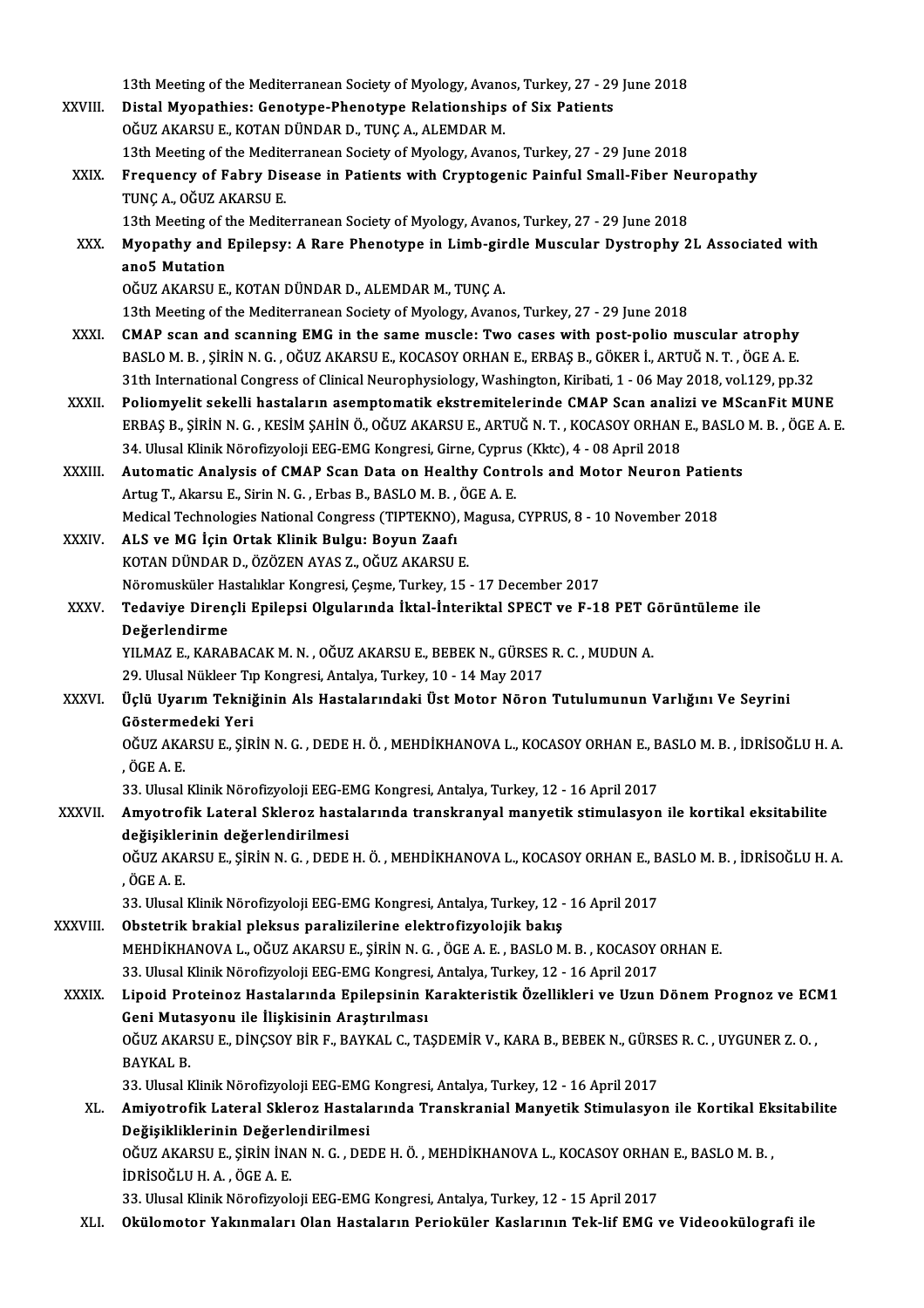|               | 13th Meeting of the Mediterranean Society of Myology, Avanos, Turkey, 27 - 29 June 2018                                                                                                  |
|---------------|------------------------------------------------------------------------------------------------------------------------------------------------------------------------------------------|
| <b>XXVIII</b> | Distal Myopathies: Genotype-Phenotype Relationships of Six Patients                                                                                                                      |
|               | OĞUZ AKARSU E., KOTAN DÜNDAR D., TUNÇ A., ALEMDAR M.                                                                                                                                     |
|               | 13th Meeting of the Mediterranean Society of Myology, Avanos, Turkey, 27 - 29 June 2018                                                                                                  |
| XXIX.         | Frequency of Fabry Disease in Patients with Cryptogenic Painful Small-Fiber Neuropathy                                                                                                   |
|               | TUNÇ A., OĞUZ AKARSU E.                                                                                                                                                                  |
|               | 13th Meeting of the Mediterranean Society of Myology, Avanos, Turkey, 27 - 29 June 2018                                                                                                  |
| XXX.          | Myopathy and Epilepsy: A Rare Phenotype in Limb-girdle Muscular Dystrophy 2L Associated with                                                                                             |
|               | ano5 Mutation                                                                                                                                                                            |
|               | OĞUZ AKARSU E., KOTAN DÜNDAR D., ALEMDAR M., TUNÇ A.                                                                                                                                     |
|               | 13th Meeting of the Mediterranean Society of Myology, Avanos, Turkey, 27 - 29 June 2018                                                                                                  |
| <b>XXXI</b>   | CMAP scan and scanning EMG in the same muscle: Two cases with post-polio muscular atrophy                                                                                                |
|               | BASLO M. B., ŞİRİN N. G., OĞUZ AKARSU E., KOCASOY ORHAN E., ERBAŞ B., GÖKER İ., ARTUĞ N. T., ÖGE A. E.                                                                                   |
|               | 31th International Congress of Clinical Neurophysiology, Washington, Kiribati, 1 - 06 May 2018, vol.129, pp.32                                                                           |
| <b>XXXII</b>  | Poliomyelit sekelli hastaların asemptomatik ekstremitelerinde CMAP Scan analizi ve MScanFit MUNE                                                                                         |
|               | ERBAŞ B., ŞİRİN N. G., KESİM ŞAHİN Ö., OĞUZ AKARSU E., ARTUĞ N. T., KOCASOY ORHAN E., BASLO M. B., ÖGE A. E.                                                                             |
|               | 34. Ulusal Klinik Nörofizyoloji EEG-EMG Kongresi, Girne, Cyprus (Kktc), 4 - 08 April 2018                                                                                                |
| XXXIII.       | Automatic Analysis of CMAP Scan Data on Healthy Controls and Motor Neuron Patients                                                                                                       |
|               | Artug T., Akarsu E., Sirin N. G., Erbas B., BASLO M. B., ÖGE A. E.                                                                                                                       |
|               | Medical Technologies National Congress (TIPTEKNO), Magusa, CYPRUS, 8 - 10 November 2018                                                                                                  |
| XXXIV.        | ALS ve MG İçin Ortak Klinik Bulgu: Boyun Zaafı<br>KOTAN DÜNDAR D., ÖZÖZEN AYAS Z., OĞUZ AKARSU E.                                                                                        |
|               | Nöromusküler Hastalıklar Kongresi, Çeşme, Turkey, 15 - 17 December 2017                                                                                                                  |
| <b>XXXV</b>   | Tedaviye Dirençli Epilepsi Olgularında İktal-İnteriktal SPECT ve F-18 PET Görüntüleme ile                                                                                                |
|               | Değerlendirme                                                                                                                                                                            |
|               | YILMAZ E., KARABACAK M. N., OĞUZ AKARSU E., BEBEK N., GÜRSES R. C., MUDUN A.                                                                                                             |
|               |                                                                                                                                                                                          |
|               |                                                                                                                                                                                          |
|               | 29. Ulusal Nükleer Tıp Kongresi, Antalya, Turkey, 10 - 14 May 2017                                                                                                                       |
| <b>XXXVI</b>  | Üçlü Uyarım Tekniğinin Als Hastalarındaki Üst Motor Nöron Tutulumunun Varlığını Ve Seyrini<br>Göstermedeki Yeri                                                                          |
|               |                                                                                                                                                                                          |
|               | OĞUZ AKARSU E., ŞİRİN N. G., DEDE H. Ö., MEHDİKHANOVA L., KOCASOY ORHAN E., BASLO M. B., İDRİSOĞLU H. A.<br>, ÖGE A E                                                                    |
|               | 33. Ulusal Klinik Nörofizyoloji EEG-EMG Kongresi, Antalya, Turkey, 12 - 16 April 2017                                                                                                    |
| XXXVII.       | Amyotrofik Lateral Skleroz hastalarında transkranyal manyetik stimulasyon ile kortikal eksitabilite                                                                                      |
|               | değişiklerinin değerlendirilmesi                                                                                                                                                         |
|               | OĞUZ AKARSU E., ŞİRİN N. G. , DEDE H. Ö. , MEHDİKHANOVA L., KOCASOY ORHAN E., BASLO M. B. , İDRİSOĞLU H. A.                                                                              |
|               | , ÖGE A.E.                                                                                                                                                                               |
|               | 33. Ulusal Klinik Nörofizyoloji EEG-EMG Kongresi, Antalya, Turkey, 12 - 16 April 2017                                                                                                    |
| XXXVIII.      | Obstetrik brakial pleksus paralizilerine elektrofizyolojik bakış                                                                                                                         |
|               | MEHDİKHANOVA L., OĞUZ AKARSU E., ŞİRİN N. G., ÖGE A. E., BASLO M. B., KOCASOY ORHAN E.                                                                                                   |
|               | 33. Ulusal Klinik Nörofizyoloji EEG-EMG Kongresi, Antalya, Turkey, 12 - 16 April 2017                                                                                                    |
| <b>XXXIX</b>  | Lipoid Proteinoz Hastalarında Epilepsinin Karakteristik Özellikleri ve Uzun Dönem Prognoz ve ECM1                                                                                        |
|               | Geni Mutasyonu ile İlişkisinin Araştırılması                                                                                                                                             |
|               | OĞUZ AKARSU E., DİNÇSOY BİR F., BAYKAL C., TAŞDEMİR V., KARA B., BEBEK N., GÜRSES R. C. , UYGUNER Z. O. ,                                                                                |
|               | <b>BAYKAL B</b>                                                                                                                                                                          |
|               | 33. Ulusal Klinik Nörofizyoloji EEG-EMG Kongresi, Antalya, Turkey, 12 - 16 April 2017                                                                                                    |
| XL.           | Amiyotrofik Lateral Skleroz Hastalarında Transkranial Manyetik Stimulasyon ile Kortikal Eksitabilite                                                                                     |
|               | Değişikliklerinin Değerlendirilmesi                                                                                                                                                      |
|               | OĞUZ AKARSU E., ŞİRİN İNAN N. G., DEDE H. Ö., MEHDİKHANOVA L., KOCASOY ORHAN E., BASLO M. B.,                                                                                            |
|               | IDRISOĞLU H. A., ÖGE A. E.                                                                                                                                                               |
| XLI.          | 33. Ulusal Klinik Nörofizyoloji EEG-EMG Kongresi, Antalya, Turkey, 12 - 15 April 2017<br>Okülomotor Yakınmaları Olan Hastaların Perioküler Kaslarının Tek-lif EMG ve Videookülografi ile |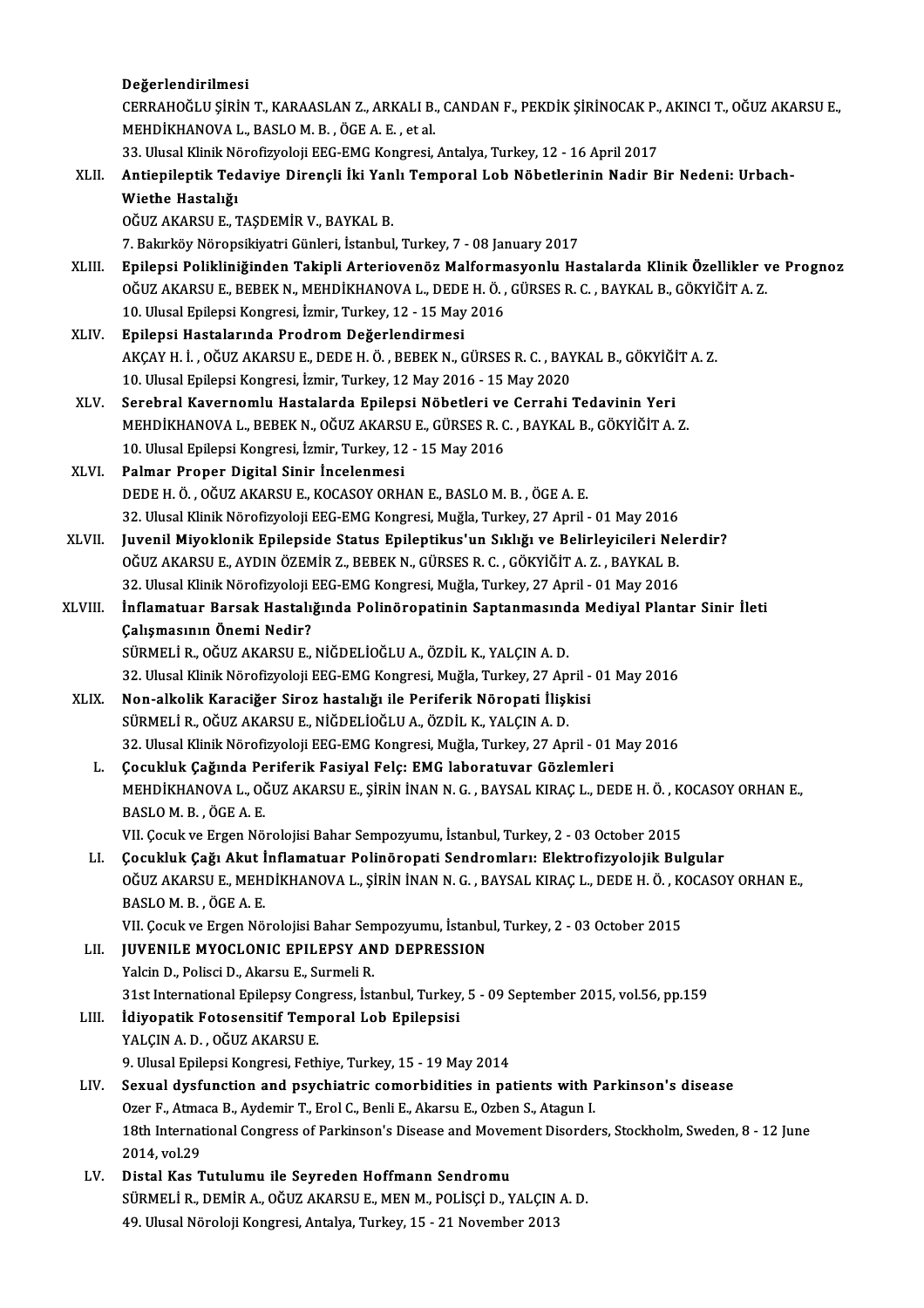|         | Değerlendirilmesi                                                                                                            |
|---------|------------------------------------------------------------------------------------------------------------------------------|
|         | CERRAHOĞLU ŞİRİN T., KARAASLAN Z., ARKALI B., CANDAN F., PEKDİK ŞİRİNOCAK P., AKINCI T., OĞUZ AKARSU E.,                     |
|         | MEHDİKHANOVA L., BASLO M. B., ÖGE A. E., et al.                                                                              |
|         | 33. Ulusal Klinik Nörofizyoloji EEG-EMG Kongresi, Antalya, Turkey, 12 - 16 April 2017                                        |
| XLII.   | Antiepileptik Tedaviye Dirençli İki Yanlı Temporal Lob Nöbetlerinin Nadir Bir Nedeni: Urbach-                                |
|         | Wiethe Hastalığı                                                                                                             |
|         | OĞUZ AKARSU E., TAŞDEMİR V., BAYKAL B.                                                                                       |
|         | 7. Bakırköy Nöropsikiyatri Günleri, İstanbul, Turkey, 7 - 08 January 2017                                                    |
| XLIII.  | Epilepsi Polikliniğinden Takipli Arteriovenöz Malformasyonlu Hastalarda Klinik Özellikler ve Prognoz                         |
|         | OĞUZ AKARSU E., BEBEK N., MEHDİKHANOVA L., DEDE H. Ö. , GÜRSES R. C. , BAYKAL B., GÖKYİĞİT A. Z.                             |
|         | 10. Ulusal Epilepsi Kongresi, İzmir, Turkey, 12 - 15 May 2016                                                                |
| XLIV.   | Epilepsi Hastalarında Prodrom Değerlendirmesi                                                                                |
|         | AKÇAY H. İ. , OĞUZ AKARSU E., DEDE H. Ö. , BEBEK N., GÜRSES R. C. , BAYKAL B., GÖKYİĞİT A. Z.                                |
|         | 10. Ulusal Epilepsi Kongresi, İzmir, Turkey, 12 May 2016 - 15 May 2020                                                       |
| XLV.    | Serebral Kavernomlu Hastalarda Epilepsi Nöbetleri ve Cerrahi Tedavinin Yeri                                                  |
|         | MEHDİKHANOVA L., BEBEK N., OĞUZ AKARSU E., GÜRSES R. C. , BAYKAL B., GÖKYİĞİT A. Z.                                          |
|         | 10. Ulusal Epilepsi Kongresi, İzmir, Turkey, 12 - 15 May 2016                                                                |
| XLVI.   | Palmar Proper Digital Sinir Incelenmesi                                                                                      |
|         | DEDE H. Ö., OĞUZ AKARSU E., KOCASOY ORHAN E., BASLO M. B., ÖGE A. E.                                                         |
|         | 32. Ulusal Klinik Nörofizyoloji EEG-EMG Kongresi, Muğla, Turkey, 27 April - 01 May 2016                                      |
| XLVII.  | Juvenil Miyoklonik Epilepside Status Epileptikus'un Sıklığı ve Belirleyicileri Nelerdir?                                     |
|         | OĞUZ AKARSU E., AYDIN ÖZEMİR Z., BEBEK N., GÜRSES R. C. , GÖKYİĞİT A. Z. , BAYKAL B.                                         |
|         | 32. Ulusal Klinik Nörofizyoloji EEG-EMG Kongresi, Muğla, Turkey, 27 April - 01 May 2016                                      |
| XLVIII. | İnflamatuar Barsak Hastalığında Polinöropatinin Saptanmasında Mediyal Plantar Sinir İleti                                    |
|         | Çalışmasının Önemi Nedir?                                                                                                    |
|         | SÜRMELİ R., OĞUZ AKARSU E., NİĞDELİOĞLU A., ÖZDİL K., YALÇIN A. D.                                                           |
|         | 32. Ulusal Klinik Nörofizyoloji EEG-EMG Kongresi, Muğla, Turkey, 27 April - 01 May 2016                                      |
| XLIX.   | Non-alkolik Karaciğer Siroz hastalığı ile Periferik Nöropati İlişkisi                                                        |
|         | SÜRMELİ R., OĞUZ AKARSU E., NİĞDELİOĞLU A., ÖZDİL K., YALÇIN A. D.                                                           |
|         | 32. Ulusal Klinik Nörofizyoloji EEG-EMG Kongresi, Muğla, Turkey, 27 April - 01 May 2016                                      |
| L.      | Çocukluk Çağında Periferik Fasiyal Felç: EMG laboratuvar Gözlemleri                                                          |
|         | MEHDİKHANOVA L., OĞUZ AKARSU E., ŞİRİN İNAN N. G., BAYSAL KIRAÇ L., DEDE H. Ö., KOCASOY ORHAN E.,                            |
|         | BASLOM B., ÖGE A.E.                                                                                                          |
|         | VII. Çocuk ve Ergen Nörolojisi Bahar Sempozyumu, İstanbul, Turkey, 2 - 03 October 2015                                       |
| LI.     | Çocukluk Çağı Akut İnflamatuar Polinöropati Sendromları: Elektrofizyolojik Bulgular                                          |
|         | OĞUZ AKARSU E., MEHDİKHANOVA L., ŞİRİN İNAN N. G. , BAYSAL KIRAÇ L., DEDE H. Ö. , KOCASOY ORHAN E.,                          |
|         | BASLOM B, ÖGEA E                                                                                                             |
|         | VII. Çocuk ve Ergen Nörolojisi Bahar Sempozyumu, İstanbul, Turkey, 2 - 03 October 2015                                       |
| LII.    | <b>JUVENILE MYOCLONIC EPILEPSY AND DEPRESSION</b>                                                                            |
|         | Yalcin D., Polisci D., Akarsu E., Surmeli R.                                                                                 |
|         | 31st International Epilepsy Congress, İstanbul, Turkey, 5 - 09 September 2015, vol.56, pp.159                                |
| LIII.   | İdiyopatik Fotosensitif Temporal Lob Epilepsisi<br>YALÇIN A.D., OĞUZ AKARSU E.                                               |
|         |                                                                                                                              |
|         | 9. Ulusal Epilepsi Kongresi, Fethiye, Turkey, 15 - 19 May 2014                                                               |
| LIV.    | Sexual dysfunction and psychiatric comorbidities in patients with Parkinson's disease                                        |
|         | Ozer F., Atmaca B., Aydemir T., Erol C., Benli E., Akarsu E., Ozben S., Atagun I.                                            |
|         | 18th International Congress of Parkinson's Disease and Movement Disorders, Stockholm, Sweden, 8 - 12 June                    |
|         | 2014, vol.29                                                                                                                 |
| LV.     | Distal Kas Tutulumu ile Seyreden Hoffmann Sendromu<br>SÜRMELİ R., DEMİR A., OĞUZ AKARSU E., MEN M., POLİSÇİ D., YALÇIN A. D. |
|         | 49. Ulusal Nöroloji Kongresi, Antalya, Turkey, 15 - 21 November 2013                                                         |
|         |                                                                                                                              |